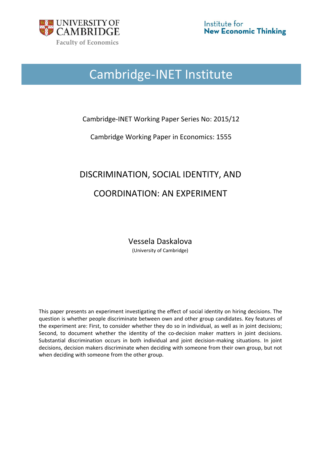

# Cambridge‐INET Institute

### Cambridge-INET Working Paper Series No: 2015/12

Cambridge Working Paper in Economics: 1555

# DISCRIMINATION, SOCIAL IDENTITY, AND COORDINATION: AN EXPERIMENT

Vessela Daskalova (University of Cambridge)

This paper presents an experiment investigating the effect of social identity on hiring decisions. The question is whether people discriminate between own and other group candidates. Key features of the experiment are: First, to consider whether they do so in individual, as well as in joint decisions; Second, to document whether the identity of the co-decision maker matters in joint decisions. Substantial discrimination occurs in both individual and joint decision‐making situations. In joint decisions, decision makers discriminate when deciding with someone from their own group, but not when deciding with someone from the other group.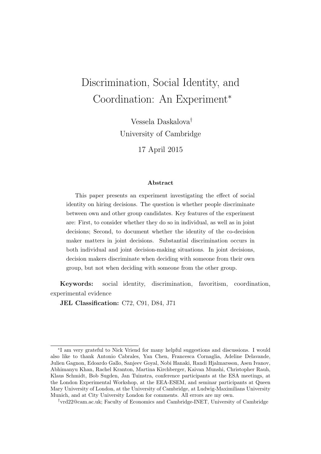## Discrimination, Social Identity, and Coordination: An Experiment<sup>∗</sup>

Vessela Daskalova† University of Cambridge

17 April 2015

#### Abstract

This paper presents an experiment investigating the effect of social identity on hiring decisions. The question is whether people discriminate between own and other group candidates. Key features of the experiment are: First, to consider whether they do so in individual, as well as in joint decisions; Second, to document whether the identity of the co-decision maker matters in joint decisions. Substantial discrimination occurs in both individual and joint decision-making situations. In joint decisions, decision makers discriminate when deciding with someone from their own group, but not when deciding with someone from the other group.

Keywords: social identity, discrimination, favoritism, coordination, experimental evidence

JEL Classification: C72, C91, D84, J71

<sup>∗</sup> I am very grateful to Nick Vriend for many helpful suggestions and discussions. I would also like to thank Antonio Cabrales, Yan Chen, Francesca Cornaglia, Adeline Delavande, Julien Gagnon, Edoardo Gallo, Sanjeev Goyal, Nobi Hanaki, Randi Hjalmarsson, Asen Ivanov, Abhimanyu Khan, Rachel Kranton, Martina Kirchberger, Kaivan Munshi, Christopher Rauh, Klaus Schmidt, Bob Sugden, Jan Tuinstra, conference participants at the ESA meetings, at the London Experimental Workshop, at the EEA-ESEM, and seminar participants at Queen Mary University of London, at the University of Cambridge, at Ludwig-Maximilians University Munich, and at City University London for comments. All errors are my own.

<sup>†</sup>vrd22@cam.ac.uk; Faculty of Economics and Cambridge-INET, University of Cambridge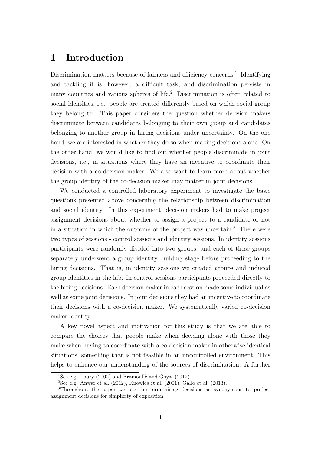## 1 Introduction

Discrimination matters because of fairness and efficiency concerns.<sup>1</sup> Identifying and tackling it is, however, a difficult task, and discrimination persists in many countries and various spheres of life.<sup>2</sup> Discrimination is often related to social identities, i.e., people are treated differently based on which social group they belong to. This paper considers the question whether decision makers discriminate between candidates belonging to their own group and candidates belonging to another group in hiring decisions under uncertainty. On the one hand, we are interested in whether they do so when making decisions alone. On the other hand, we would like to find out whether people discriminate in joint decisions, i.e., in situations where they have an incentive to coordinate their decision with a co-decision maker. We also want to learn more about whether the group identity of the co-decision maker may matter in joint decisions.

We conducted a controlled laboratory experiment to investigate the basic questions presented above concerning the relationship between discrimination and social identity. In this experiment, decision makers had to make project assignment decisions about whether to assign a project to a candidate or not in a situation in which the outcome of the project was uncertain.<sup>3</sup> There were two types of sessions - control sessions and identity sessions. In identity sessions participants were randomly divided into two groups, and each of these groups separately underwent a group identity building stage before proceeding to the hiring decisions. That is, in identity sessions we created groups and induced group identities in the lab. In control sessions participants proceeded directly to the hiring decisions. Each decision maker in each session made some individual as well as some joint decisions. In joint decisions they had an incentive to coordinate their decisions with a co-decision maker. We systematically varied co-decision maker identity.

A key novel aspect and motivation for this study is that we are able to compare the choices that people make when deciding alone with those they make when having to coordinate with a co-decision maker in otherwise identical situations, something that is not feasible in an uncontrolled environment. This helps to enhance our understanding of the sources of discrimination. A further

<sup>&</sup>lt;sup>1</sup>See e.g. Loury (2002) and Bramoullè and Goyal (2012).

<sup>&</sup>lt;sup>2</sup>See e.g. Anwar et al.  $(2012)$ , Knowles et al.  $(2001)$ , Gallo et al.  $(2013)$ .

<sup>3</sup>Throughout the paper we use the term hiring decisions as synonymous to project assignment decisions for simplicity of exposition.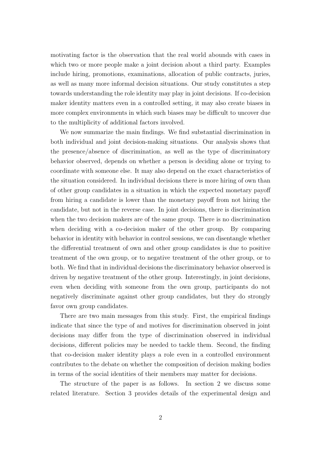motivating factor is the observation that the real world abounds with cases in which two or more people make a joint decision about a third party. Examples include hiring, promotions, examinations, allocation of public contracts, juries, as well as many more informal decision situations. Our study constitutes a step towards understanding the role identity may play in joint decisions. If co-decision maker identity matters even in a controlled setting, it may also create biases in more complex environments in which such biases may be difficult to uncover due to the multiplicity of additional factors involved.

We now summarize the main findings. We find substantial discrimination in both individual and joint decision-making situations. Our analysis shows that the presence/absence of discrimination, as well as the type of discriminatory behavior observed, depends on whether a person is deciding alone or trying to coordinate with someone else. It may also depend on the exact characteristics of the situation considered. In individual decisions there is more hiring of own than of other group candidates in a situation in which the expected monetary payoff from hiring a candidate is lower than the monetary payoff from not hiring the candidate, but not in the reverse case. In joint decisions, there is discrimination when the two decision makers are of the same group. There is no discrimination when deciding with a co-decision maker of the other group. By comparing behavior in identity with behavior in control sessions, we can disentangle whether the differential treatment of own and other group candidates is due to positive treatment of the own group, or to negative treatment of the other group, or to both. We find that in individual decisions the discriminatory behavior observed is driven by negative treatment of the other group. Interestingly, in joint decisions, even when deciding with someone from the own group, participants do not negatively discriminate against other group candidates, but they do strongly favor own group candidates.

There are two main messages from this study. First, the empirical findings indicate that since the type of and motives for discrimination observed in joint decisions may differ from the type of discrimination observed in individual decisions, different policies may be needed to tackle them. Second, the finding that co-decision maker identity plays a role even in a controlled environment contributes to the debate on whether the composition of decision making bodies in terms of the social identities of their members may matter for decisions.

The structure of the paper is as follows. In section 2 we discuss some related literature. Section 3 provides details of the experimental design and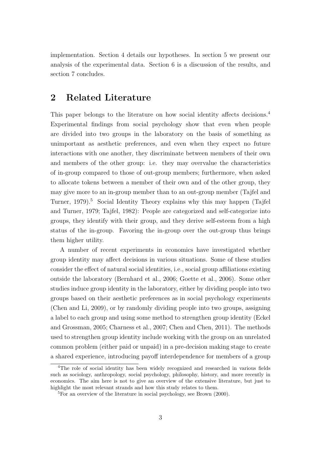implementation. Section 4 details our hypotheses. In section 5 we present our analysis of the experimental data. Section 6 is a discussion of the results, and section 7 concludes.

### 2 Related Literature

This paper belongs to the literature on how social identity affects decisions.<sup>4</sup> Experimental findings from social psychology show that even when people are divided into two groups in the laboratory on the basis of something as unimportant as aesthetic preferences, and even when they expect no future interactions with one another, they discriminate between members of their own and members of the other group: i.e. they may overvalue the characteristics of in-group compared to those of out-group members; furthermore, when asked to allocate tokens between a member of their own and of the other group, they may give more to an in-group member than to an out-group member (Tajfel and Turner, 1979).<sup>5</sup> Social Identity Theory explains why this may happen (Tajfel and Turner, 1979; Tajfel, 1982): People are categorized and self-categorize into groups, they identify with their group, and they derive self-esteem from a high status of the in-group. Favoring the in-group over the out-group thus brings them higher utility.

A number of recent experiments in economics have investigated whether group identity may affect decisions in various situations. Some of these studies consider the effect of natural social identities, i.e., social group affiliations existing outside the laboratory (Bernhard et al., 2006; Goette et al., 2006). Some other studies induce group identity in the laboratory, either by dividing people into two groups based on their aesthetic preferences as in social psychology experiments (Chen and Li, 2009), or by randomly dividing people into two groups, assigning a label to each group and using some method to strengthen group identity (Eckel and Grossman, 2005; Charness et al., 2007; Chen and Chen, 2011). The methods used to strengthen group identity include working with the group on an unrelated common problem (either paid or unpaid) in a pre-decision making stage to create a shared experience, introducing payoff interdependence for members of a group

<sup>4</sup>The role of social identity has been widely recognized and researched in various fields such as sociology, anthropology, social psychology, philosophy, history, and more recently in economics. The aim here is not to give an overview of the extensive literature, but just to highlight the most relevant strands and how this study relates to them.

<sup>&</sup>lt;sup>5</sup>For an overview of the literature in social psychology, see Brown (2000).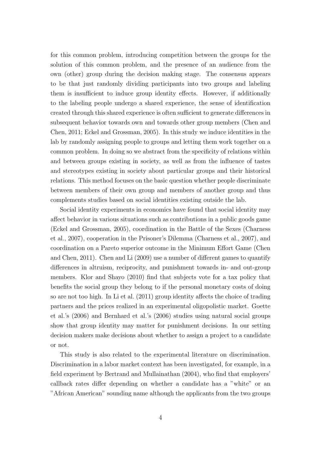for this common problem, introducing competition between the groups for the solution of this common problem, and the presence of an audience from the own (other) group during the decision making stage. The consensus appears to be that just randomly dividing participants into two groups and labeling them is insufficient to induce group identity effects. However, if additionally to the labeling people undergo a shared experience, the sense of identification created through this shared experience is often sufficient to generate differences in subsequent behavior towards own and towards other group members (Chen and Chen, 2011; Eckel and Grossman, 2005). In this study we induce identities in the lab by randomly assigning people to groups and letting them work together on a common problem. In doing so we abstract from the specificity of relations within and between groups existing in society, as well as from the influence of tastes and stereotypes existing in society about particular groups and their historical relations. This method focuses on the basic question whether people discriminate between members of their own group and members of another group and thus complements studies based on social identities existing outside the lab.

Social identity experiments in economics have found that social identity may affect behavior in various situations such as contributions in a public goods game (Eckel and Grossman, 2005), coordination in the Battle of the Sexes (Charness et al., 2007), cooperation in the Prisoner's Dilemma (Charness et al., 2007), and coordination on a Pareto superior outcome in the Minimum Effort Game (Chen and Chen, 2011). Chen and Li (2009) use a number of different games to quantify differences in altruism, reciprocity, and punishment towards in- and out-group members. Klor and Shayo (2010) find that subjects vote for a tax policy that benefits the social group they belong to if the personal monetary costs of doing so are not too high. In Li et al. (2011) group identity affects the choice of trading partners and the prices realized in an experimental oligopolistic market. Goette et al.'s (2006) and Bernhard et al.'s (2006) studies using natural social groups show that group identity may matter for punishment decisions. In our setting decision makers make decisions about whether to assign a project to a candidate or not.

This study is also related to the experimental literature on discrimination. Discrimination in a labor market context has been investigated, for example, in a field experiment by Bertrand and Mullainathan (2004), who find that employers' callback rates differ depending on whether a candidate has a "white" or an "African American" sounding name although the applicants from the two groups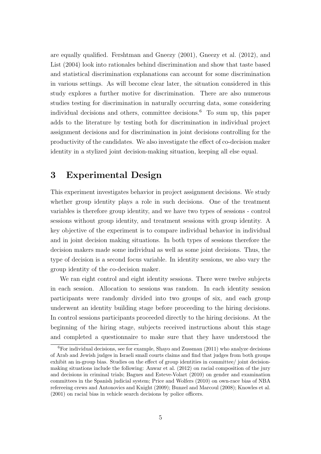are equally qualified. Fershtman and Gneezy (2001), Gneezy et al. (2012), and List (2004) look into rationales behind discrimination and show that taste based and statistical discrimination explanations can account for some discrimination in various settings. As will become clear later, the situation considered in this study explores a further motive for discrimination. There are also numerous studies testing for discrimination in naturally occurring data, some considering individual decisions and others, committee decisions.<sup>6</sup> To sum up, this paper adds to the literature by testing both for discrimination in individual project assignment decisions and for discrimination in joint decisions controlling for the productivity of the candidates. We also investigate the effect of co-decision maker identity in a stylized joint decision-making situation, keeping all else equal.

## 3 Experimental Design

This experiment investigates behavior in project assignment decisions. We study whether group identity plays a role in such decisions. One of the treatment variables is therefore group identity, and we have two types of sessions - control sessions without group identity, and treatment sessions with group identity. A key objective of the experiment is to compare individual behavior in individual and in joint decision making situations. In both types of sessions therefore the decision makers made some individual as well as some joint decisions. Thus, the type of decision is a second focus variable. In identity sessions, we also vary the group identity of the co-decision maker.

We ran eight control and eight identity sessions. There were twelve subjects in each session. Allocation to sessions was random. In each identity session participants were randomly divided into two groups of six, and each group underwent an identity building stage before proceeding to the hiring decisions. In control sessions participants proceeded directly to the hiring decisions. At the beginning of the hiring stage, subjects received instructions about this stage and completed a questionnaire to make sure that they have understood the

 ${}^{6}$ For individual decisions, see for example, Shayo and Zussman (2011) who analyze decisions of Arab and Jewish judges in Israeli small courts claims and find that judges from both groups exhibit an in-group bias. Studies on the effect of group identities in committee/ joint decisionmaking situations include the following: Anwar et al. (2012) on racial composition of the jury and decisions in criminal trials; Bagues and Esteve-Volart (2010) on gender and examination committees in the Spanish judicial system; Price and Wolfers (2010) on own-race bias of NBA refereeing crews and Antonovics and Knight (2009); Bunzel and Marcoul (2008); Knowles et al. (2001) on racial bias in vehicle search decisions by police officers.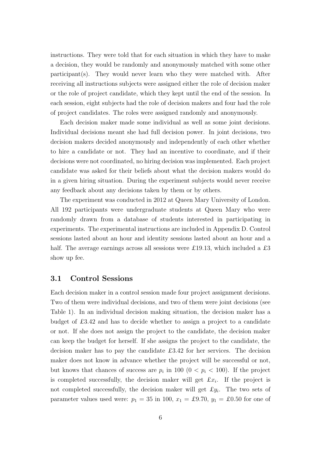instructions. They were told that for each situation in which they have to make a decision, they would be randomly and anonymously matched with some other participant(s). They would never learn who they were matched with. After receiving all instructions subjects were assigned either the role of decision maker or the role of project candidate, which they kept until the end of the session. In each session, eight subjects had the role of decision makers and four had the role of project candidates. The roles were assigned randomly and anonymously.

Each decision maker made some individual as well as some joint decisions. Individual decisions meant she had full decision power. In joint decisions, two decision makers decided anonymously and independently of each other whether to hire a candidate or not. They had an incentive to coordinate, and if their decisions were not coordinated, no hiring decision was implemented. Each project candidate was asked for their beliefs about what the decision makers would do in a given hiring situation. During the experiment subjects would never receive any feedback about any decisions taken by them or by others.

The experiment was conducted in 2012 at Queen Mary University of London. All 192 participants were undergraduate students at Queen Mary who were randomly drawn from a database of students interested in participating in experiments. The experimental instructions are included in Appendix D. Control sessions lasted about an hour and identity sessions lasted about an hour and a half. The average earnings across all sessions were £19.13, which included a £3 show up fee.

#### 3.1 Control Sessions

Each decision maker in a control session made four project assignment decisions. Two of them were individual decisions, and two of them were joint decisions (see Table 1). In an individual decision making situation, the decision maker has a budget of £3.42 and has to decide whether to assign a project to a candidate or not. If she does not assign the project to the candidate, the decision maker can keep the budget for herself. If she assigns the project to the candidate, the decision maker has to pay the candidate £3.42 for her services. The decision maker does not know in advance whether the project will be successful or not, but knows that chances of success are  $p_i$  in 100 ( $0 < p_i < 100$ ). If the project is completed successfully, the decision maker will get  $\pounds x_i$ . If the project is not completed successfully, the decision maker will get  $\pounds y_i$ . The two sets of parameter values used were:  $p_1 = 35$  in 100,  $x_1 = \text{\textsterling}9.70$ ,  $y_1 = \text{\textsterling}0.50$  for one of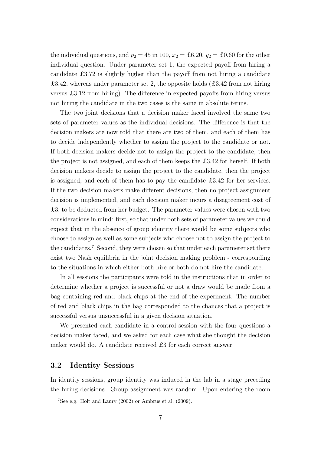the individual questions, and  $p_2 = 45$  in 100,  $x_2 = \pounds 6.20$ ,  $y_2 = \pounds 0.60$  for the other individual question. Under parameter set 1, the expected payoff from hiring a candidate £3.72 is slightly higher than the payoff from not hiring a candidate £3.42, whereas under parameter set 2, the opposite holds  $(£3.42$  from not hiring versus £3.12 from hiring). The difference in expected payoffs from hiring versus not hiring the candidate in the two cases is the same in absolute terms.

The two joint decisions that a decision maker faced involved the same two sets of parameter values as the individual decisions. The difference is that the decision makers are now told that there are two of them, and each of them has to decide independently whether to assign the project to the candidate or not. If both decision makers decide not to assign the project to the candidate, then the project is not assigned, and each of them keeps the £3.42 for herself. If both decision makers decide to assign the project to the candidate, then the project is assigned, and each of them has to pay the candidate £3.42 for her services. If the two decision makers make different decisions, then no project assignment decision is implemented, and each decision maker incurs a disagreement cost of £3, to be deducted from her budget. The parameter values were chosen with two considerations in mind: first, so that under both sets of parameter values we could expect that in the absence of group identity there would be some subjects who choose to assign as well as some subjects who choose not to assign the project to the candidates.<sup>7</sup> Second, they were chosen so that under each parameter set there exist two Nash equilibria in the joint decision making problem - corresponding to the situations in which either both hire or both do not hire the candidate.

In all sessions the participants were told in the instructions that in order to determine whether a project is successful or not a draw would be made from a bag containing red and black chips at the end of the experiment. The number of red and black chips in the bag corresponded to the chances that a project is successful versus unsuccessful in a given decision situation.

We presented each candidate in a control session with the four questions a decision maker faced, and we asked for each case what she thought the decision maker would do. A candidate received £3 for each correct answer.

#### 3.2 Identity Sessions

In identity sessions, group identity was induced in the lab in a stage preceding the hiring decisions. Group assignment was random. Upon entering the room

 $7$ See e.g. Holt and Laury (2002) or Ambrus et al. (2009).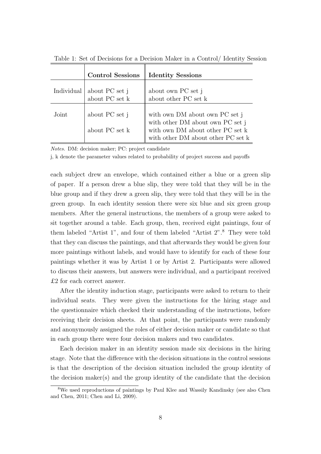|            | <b>Control Sessions</b>                                                       | <b>Identity Sessions</b>                                                                                                                                                             |
|------------|-------------------------------------------------------------------------------|--------------------------------------------------------------------------------------------------------------------------------------------------------------------------------------|
| Individual | $\begin{array}{c} \text{about PC set j} \\ \text{about PC set k} \end{array}$ | % about own PC set $j$ about other PC set $k$                                                                                                                                        |
| Joint      | about PC set j<br>about PC set k                                              | with own ${\rm DM}$ about own ${\rm PC}$ set ${\rm j}$<br>with other DM about own PC set j<br>with own DM about other PC set ${\bf k}$<br>with other DM about other PC set ${\bf k}$ |

Table 1: Set of Decisions for a Decision Maker in a Control/ Identity Session

Notes. DM: decision maker; PC: project candidate

j, k denote the parameter values related to probability of project success and payoffs

each subject drew an envelope, which contained either a blue or a green slip of paper. If a person drew a blue slip, they were told that they will be in the blue group and if they drew a green slip, they were told that they will be in the green group. In each identity session there were six blue and six green group members. After the general instructions, the members of a group were asked to sit together around a table. Each group, then, received eight paintings, four of them labeled "Artist 1", and four of them labeled "Artist 2".<sup>8</sup> They were told that they can discuss the paintings, and that afterwards they would be given four more paintings without labels, and would have to identify for each of these four paintings whether it was by Artist 1 or by Artist 2. Participants were allowed to discuss their answers, but answers were individual, and a participant received £2 for each correct answer.

After the identity induction stage, participants were asked to return to their individual seats. They were given the instructions for the hiring stage and the questionnaire which checked their understanding of the instructions, before receiving their decision sheets. At that point, the participants were randomly and anonymously assigned the roles of either decision maker or candidate so that in each group there were four decision makers and two candidates.

Each decision maker in an identity session made six decisions in the hiring stage. Note that the difference with the decision situations in the control sessions is that the description of the decision situation included the group identity of the decision maker(s) and the group identity of the candidate that the decision

<sup>8</sup>We used reproductions of paintings by Paul Klee and Wassily Kandinsky (see also Chen and Chen, 2011; Chen and Li, 2009).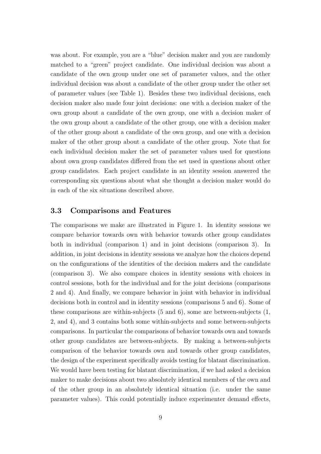was about. For example, you are a "blue" decision maker and you are randomly matched to a "green" project candidate. One individual decision was about a candidate of the own group under one set of parameter values, and the other individual decision was about a candidate of the other group under the other set of parameter values (see Table 1). Besides these two individual decisions, each decision maker also made four joint decisions: one with a decision maker of the own group about a candidate of the own group, one with a decision maker of the own group about a candidate of the other group, one with a decision maker of the other group about a candidate of the own group, and one with a decision maker of the other group about a candidate of the other group. Note that for each individual decision maker the set of parameter values used for questions about own group candidates differed from the set used in questions about other group candidates. Each project candidate in an identity session answered the corresponding six questions about what she thought a decision maker would do in each of the six situations described above.

#### 3.3 Comparisons and Features

The comparisons we make are illustrated in Figure 1. In identity sessions we compare behavior towards own with behavior towards other group candidates both in individual (comparison 1) and in joint decisions (comparison 3). In addition, in joint decisions in identity sessions we analyze how the choices depend on the configurations of the identities of the decision makers and the candidate (comparison 3). We also compare choices in identity sessions with choices in control sessions, both for the individual and for the joint decisions (comparisons 2 and 4). And finally, we compare behavior in joint with behavior in individual decisions both in control and in identity sessions (comparisons 5 and 6). Some of these comparisons are within-subjects  $(5 \text{ and } 6)$ , some are between-subjects  $(1, 6)$ 2, and 4), and 3 contains both some within-subjects and some between-subjects comparisons. In particular the comparisons of behavior towards own and towards other group candidates are between-subjects. By making a between-subjects comparison of the behavior towards own and towards other group candidates, the design of the experiment specifically avoids testing for blatant discrimination. We would have been testing for blatant discrimination, if we had asked a decision maker to make decisions about two absolutely identical members of the own and of the other group in an absolutely identical situation (i.e. under the same parameter values). This could potentially induce experimenter demand effects,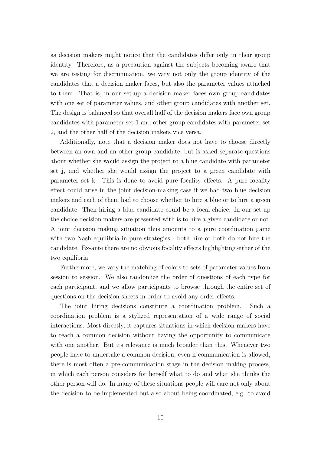as decision makers might notice that the candidates differ only in their group identity. Therefore, as a precaution against the subjects becoming aware that we are testing for discrimination, we vary not only the group identity of the candidates that a decision maker faces, but also the parameter values attached to them. That is, in our set-up a decision maker faces own group candidates with one set of parameter values, and other group candidates with another set. The design is balanced so that overall half of the decision makers face own group candidates with parameter set 1 and other group candidates with parameter set 2, and the other half of the decision makers vice versa.

Additionally, note that a decision maker does not have to choose directly between an own and an other group candidate, but is asked separate questions about whether she would assign the project to a blue candidate with parameter set j, and whether she would assign the project to a green candidate with parameter set k. This is done to avoid pure focality effects. A pure focality effect could arise in the joint decision-making case if we had two blue decision makers and each of them had to choose whether to hire a blue or to hire a green candidate. Then hiring a blue candidate could be a focal choice. In our set-up the choice decision makers are presented with is to hire a given candidate or not. A joint decision making situation thus amounts to a pure coordination game with two Nash equilibria in pure strategies - both hire or both do not hire the candidate. Ex-ante there are no obvious focality effects highlighting either of the two equilibria.

Furthermore, we vary the matching of colors to sets of parameter values from session to session. We also randomize the order of questions of each type for each participant, and we allow participants to browse through the entire set of questions on the decision sheets in order to avoid any order effects.

The joint hiring decisions constitute a coordination problem. Such a coordination problem is a stylized representation of a wide range of social interactions. Most directly, it captures situations in which decision makers have to reach a common decision without having the opportunity to communicate with one another. But its relevance is much broader than this. Whenever two people have to undertake a common decision, even if communication is allowed, there is most often a pre-communication stage in the decision making process, in which each person considers for herself what to do and what she thinks the other person will do. In many of these situations people will care not only about the decision to be implemented but also about being coordinated, e.g. to avoid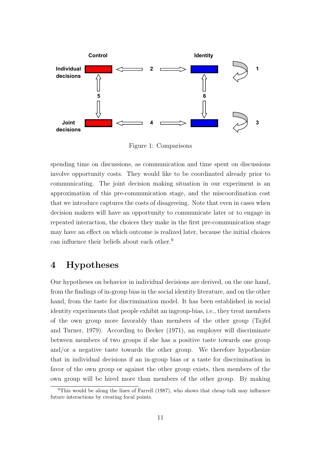

Figure 1: Comparisons

spending time on discussions, as communication and time spent on discussions involve opportunity costs. They would like to be coordinated already prior to communicating. The joint decision making situation in our experiment is an approximation of this pre-communication stage, and the miscoordination cost that we introduce captures the costs of disagreeing. Note that even in cases when decision makers will have an opportunity to communicate later or to engage in repeated interaction, the choices they make in the first pre-communication stage may have an effect on which outcome is realized later, because the initial choices can influence their beliefs about each other.<sup>9</sup>

## 4 Hypotheses

Our hypotheses on behavior in individual decisions are derived, on the one hand, from the findings of in-group bias in the social identity literature, and on the other hand, from the taste for discrimination model. It has been established in social identity experiments that people exhibit an ingroup-bias, i.e., they treat members of the own group more favorably than members of the other group (Tajfel and Turner, 1979). According to Becker (1971), an employer will discriminate between members of two groups if she has a positive taste towards one group and/or a negative taste towards the other group. We therefore hypothesize that in individual decisions if an in-group bias or a taste for discrimination in favor of the own group or against the other group exists, then members of the own group will be hired more than members of the other group. By making

<sup>9</sup>This would be along the lines of Farrell (1987), who shows that cheap talk may influence future interactions by creating focal points.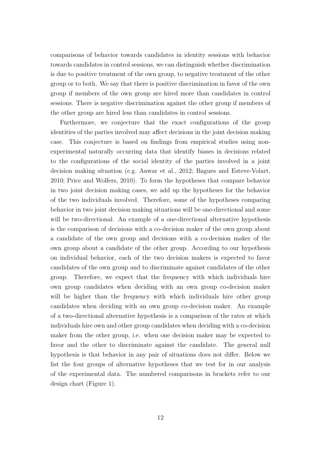comparisons of behavior towards candidates in identity sessions with behavior towards candidates in control sessions, we can distinguish whether discrimination is due to positive treatment of the own group, to negative treatment of the other group or to both. We say that there is positive discrimination in favor of the own group if members of the own group are hired more than candidates in control sessions. There is negative discrimination against the other group if members of the other group are hired less than candidates in control sessions.

Furthermore, we conjecture that the exact configurations of the group identities of the parties involved may affect decisions in the joint decision making case. This conjecture is based on findings from empirical studies using nonexperimental naturally occurring data that identify biases in decisions related to the configurations of the social identity of the parties involved in a joint decision making situation (e.g. Anwar et al., 2012; Bagues and Esteve-Volart, 2010; Price and Wolfers, 2010). To form the hypotheses that compare behavior in two joint decision making cases, we add up the hypotheses for the behavior of the two individuals involved. Therefore, some of the hypotheses comparing behavior in two joint decision making situations will be one-directional and some will be two-directional. An example of a one-directional alternative hypothesis is the comparison of decisions with a co-decision maker of the own group about a candidate of the own group and decisions with a co-decision maker of the own group about a candidate of the other group. According to our hypothesis on individual behavior, each of the two decision makers is expected to favor candidates of the own group and to discriminate against candidates of the other group. Therefore, we expect that the frequency with which individuals hire own group candidates when deciding with an own group co-decision maker will be higher than the frequency with which individuals hire other group candidates when deciding with an own group co-decision maker. An example of a two-directional alternative hypothesis is a comparison of the rates at which individuals hire own and other group candidates when deciding with a co-decision maker from the other group, i.e. when one decision maker may be expected to favor and the other to discriminate against the candidate. The general null hypothesis is that behavior in any pair of situations does not differ. Below we list the four groups of alternative hypotheses that we test for in our analysis of the experimental data. The numbered comparisons in brackets refer to our design chart (Figure 1).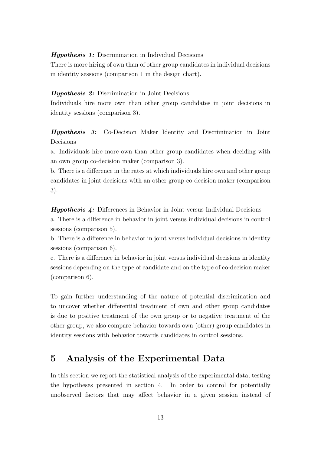Hypothesis 1: Discrimination in Individual Decisions

There is more hiring of own than of other group candidates in individual decisions in identity sessions (comparison 1 in the design chart).

#### Hypothesis 2: Discrimination in Joint Decisions

Individuals hire more own than other group candidates in joint decisions in identity sessions (comparison 3).

Hypothesis 3: Co-Decision Maker Identity and Discrimination in Joint Decisions

a. Individuals hire more own than other group candidates when deciding with an own group co-decision maker (comparison 3).

b. There is a difference in the rates at which individuals hire own and other group candidates in joint decisions with an other group co-decision maker (comparison 3).

Hypothesis 4: Differences in Behavior in Joint versus Individual Decisions a. There is a difference in behavior in joint versus individual decisions in control sessions (comparison 5).

b. There is a difference in behavior in joint versus individual decisions in identity sessions (comparison 6).

c. There is a difference in behavior in joint versus individual decisions in identity sessions depending on the type of candidate and on the type of co-decision maker (comparison 6).

To gain further understanding of the nature of potential discrimination and to uncover whether differential treatment of own and other group candidates is due to positive treatment of the own group or to negative treatment of the other group, we also compare behavior towards own (other) group candidates in identity sessions with behavior towards candidates in control sessions.

## 5 Analysis of the Experimental Data

In this section we report the statistical analysis of the experimental data, testing the hypotheses presented in section 4. In order to control for potentially unobserved factors that may affect behavior in a given session instead of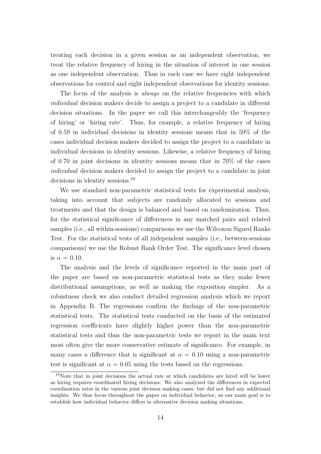treating each decision in a given session as an independent observation, we treat the relative frequency of hiring in the situation of interest in one session as one independent observation. Thus in each case we have eight independent observations for control and eight independent observations for identity sessions.

The focus of the analysis is *always* on the relative frequencies with which individual decision makers decide to assign a project to a candidate in different decision situations. In the paper we call this interchangeably the 'frequency of hiring' or 'hiring rate'. Thus, for example, a relative frequency of hiring of 0.59 in individual decisions in identity sessions means that in 59% of the cases individual decision makers decided to assign the project to a candidate in individual decisions in identity sessions. Likewise, a relative frequency of hiring of 0.70 in joint decisions in identity sessions means that in 70% of the cases individual decision makers decided to assign the project to a candidate in joint decisions in identity sessions.<sup>10</sup>

We use standard non-parametric statistical tests for experimental analysis, taking into account that subjects are randomly allocated to sessions and treatments and that the design is balanced and based on randomization. Thus, for the statistical significance of differences in any matched pairs and related samples (i.e., all within-sessions) comparisons we use the Wilcoxon Signed Ranks Test. For the statistical tests of all independent samples (i.e., between-sessions comparisons) we use the Robust Rank Order Test. The significance level chosen is  $\alpha = 0.10$ .

The analysis and the levels of significance reported in the main part of the paper are based on non-parametric statistical tests as they make fewer distributional assumptions, as well as making the exposition simpler. As a robustness check we also conduct detailed regression analysis which we report in Appendix B. The regressions confirm the findings of the non-parametric statistical tests. The statistical tests conducted on the basis of the estimated regression coefficients have slightly higher power than the non-parametric statistical tests and thus the non-parametric tests we report in the main text most often give the more conservative estimate of significance. For example, in many cases a difference that is significant at  $\alpha = 0.10$  using a non-parametric test is significant at  $\alpha = 0.05$  using the tests based on the regressions.

 $10$ Note that in joint decisions the actual rate at which candidates are hired will be lower as hiring requires coordinated hiring decisions. We also analyzed the differences in expected coordination rates in the various joint decision making cases, but did not find any additional insights. We thus focus throughout the paper on individual behavior, as our main goal is to establish how individual behavior differs in alternative decision making situations.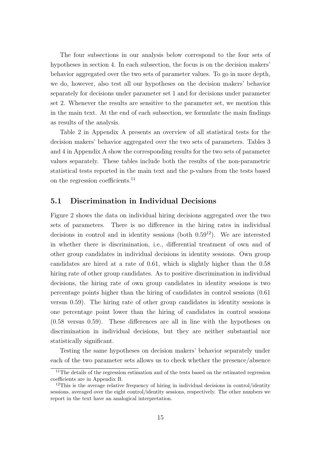The four subsections in our analysis below correspond to the four sets of hypotheses in section 4. In each subsection, the focus is on the decision makers' behavior aggregated over the two sets of parameter values. To go in more depth, we do, however, also test all our hypotheses on the decision makers' behavior separately for decisions under parameter set 1 and for decisions under parameter set 2. Whenever the results are sensitive to the parameter set, we mention this in the main text. At the end of each subsection, we formulate the main findings as results of the analysis.

Table 2 in Appendix A presents an overview of all statistical tests for the decision makers' behavior aggregated over the two sets of parameters. Tables 3 and 4 in Appendix A show the corresponding results for the two sets of parameter values separately. These tables include both the results of the non-parametric statistical tests reported in the main text and the p-values from the tests based on the regression coefficients.<sup>11</sup>

#### 5.1 Discrimination in Individual Decisions

Figure 2 shows the data on individual hiring decisions aggregated over the two sets of parameters. There is no difference in the hiring rates in individual decisions in control and in identity sessions (both  $0.59^{12}$ ). We are interested in whether there is discrimination, i.e., differential treatment of own and of other group candidates in individual decisions in identity sessions. Own group candidates are hired at a rate of 0.61, which is slightly higher than the 0.58 hiring rate of other group candidates. As to positive discrimination in individual decisions, the hiring rate of own group candidates in identity sessions is two percentage points higher than the hiring of candidates in control sessions (0.61 versus 0.59). The hiring rate of other group candidates in identity sessions is one percentage point lower than the hiring of candidates in control sessions (0.58 versus 0.59). These differences are all in line with the hypotheses on discrimination in individual decisions, but they are neither substantial nor statistically significant.

Testing the same hypotheses on decision makers' behavior separately under each of the two parameter sets allows us to check whether the presence/absence

 $11$ The details of the regression estimation and of the tests based on the estimated regression coefficients are in Appendix B.

 $12$ This is the average relative frequency of hiring in individual decisions in control/identity sessions, averaged over the eight control/identity sessions, respectively. The other numbers we report in the text have an analogical interpretation.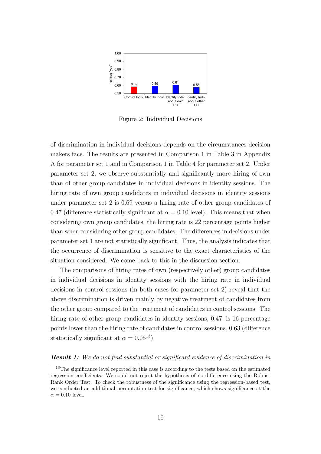

Figure 2: Individual Decisions

of discrimination in individual decisions depends on the circumstances decision makers face. The results are presented in Comparison 1 in Table 3 in Appendix A for parameter set 1 and in Comparison 1 in Table 4 for parameter set 2. Under parameter set 2, we observe substantially and significantly more hiring of own than of other group candidates in individual decisions in identity sessions. The hiring rate of own group candidates in individual decisions in identity sessions under parameter set 2 is 0.69 versus a hiring rate of other group candidates of 0.47 (difference statistically significant at  $\alpha = 0.10$  level). This means that when considering own group candidates, the hiring rate is 22 percentage points higher than when considering other group candidates. The differences in decisions under parameter set 1 are not statistically significant. Thus, the analysis indicates that the occurrence of discrimination is sensitive to the exact characteristics of the situation considered. We come back to this in the discussion section.

The comparisons of hiring rates of own (respectively other) group candidates in individual decisions in identity sessions with the hiring rate in individual decisions in control sessions (in both cases for parameter set 2) reveal that the above discrimination is driven mainly by negative treatment of candidates from the other group compared to the treatment of candidates in control sessions. The hiring rate of other group candidates in identity sessions, 0.47, is 16 percentage points lower than the hiring rate of candidates in control sessions, 0.63 (difference statistically significant at  $\alpha = 0.05^{13}$ .

#### **Result 1:** We do not find substantial or significant evidence of discrimination in

<sup>&</sup>lt;sup>13</sup>The significance level reported in this case is according to the tests based on the estimated regression coefficients. We could not reject the hypothesis of no difference using the Robust Rank Order Test. To check the robustness of the significance using the regression-based test, we conducted an additional permutation test for significance, which shows significance at the  $\alpha = 0.10$  level.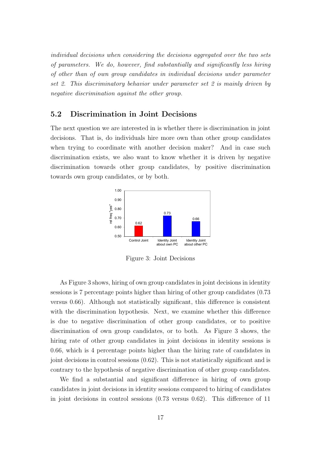individual decisions when considering the decisions aggregated over the two sets of parameters. We do, however, find substantially and significantly less hiring of other than of own group candidates in individual decisions under parameter set 2. This discriminatory behavior under parameter set 2 is mainly driven by negative discrimination against the other group.

#### 5.2 Discrimination in Joint Decisions

The next question we are interested in is whether there is discrimination in joint decisions. That is, do individuals hire more own than other group candidates when trying to coordinate with another decision maker? And in case such discrimination exists, we also want to know whether it is driven by negative discrimination towards other group candidates, by positive discrimination towards own group candidates, or by both.



Figure 3: Joint Decisions

As Figure 3 shows, hiring of own group candidates in joint decisions in identity sessions is 7 percentage points higher than hiring of other group candidates (0.73 versus 0.66). Although not statistically significant, this difference is consistent with the discrimination hypothesis. Next, we examine whether this difference is due to negative discrimination of other group candidates, or to positive discrimination of own group candidates, or to both. As Figure 3 shows, the hiring rate of other group candidates in joint decisions in identity sessions is 0.66, which is 4 percentage points higher than the hiring rate of candidates in joint decisions in control sessions (0.62). This is not statistically significant and is contrary to the hypothesis of negative discrimination of other group candidates.

We find a substantial and significant difference in hiring of own group candidates in joint decisions in identity sessions compared to hiring of candidates in joint decisions in control sessions (0.73 versus 0.62). This difference of 11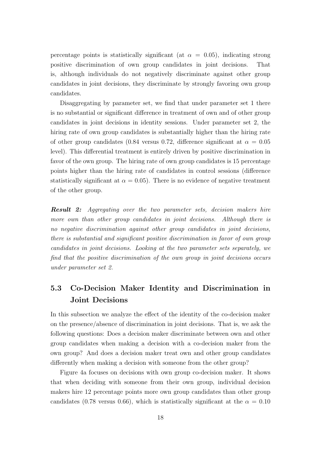percentage points is statistically significant (at  $\alpha = 0.05$ ), indicating strong positive discrimination of own group candidates in joint decisions. That is, although individuals do not negatively discriminate against other group candidates in joint decisions, they discriminate by strongly favoring own group candidates.

Disaggregating by parameter set, we find that under parameter set 1 there is no substantial or significant difference in treatment of own and of other group candidates in joint decisions in identity sessions. Under parameter set 2, the hiring rate of own group candidates is substantially higher than the hiring rate of other group candidates (0.84 versus 0.72, difference significant at  $\alpha = 0.05$ level). This differential treatment is entirely driven by positive discrimination in favor of the own group. The hiring rate of own group candidates is 15 percentage points higher than the hiring rate of candidates in control sessions (difference statistically significant at  $\alpha = 0.05$ ). There is no evidence of negative treatment of the other group.

Result 2: Aggregating over the two parameter sets, decision makers hire more own than other group candidates in joint decisions. Although there is no negative discrimination against other group candidates in joint decisions, there is substantial and significant positive discrimination in favor of own group candidates in joint decisions. Looking at the two parameter sets separately, we find that the positive discrimination of the own group in joint decisions occurs under parameter set 2.

## 5.3 Co-Decision Maker Identity and Discrimination in Joint Decisions

In this subsection we analyze the effect of the identity of the co-decision maker on the presence/absence of discrimination in joint decisions. That is, we ask the following questions: Does a decision maker discriminate between own and other group candidates when making a decision with a co-decision maker from the own group? And does a decision maker treat own and other group candidates differently when making a decision with someone from the other group?

Figure 4a focuses on decisions with own group co-decision maker. It shows that when deciding with someone from their own group, individual decision makers hire 12 percentage points more own group candidates than other group candidates (0.78 versus 0.66), which is statistically significant at the  $\alpha = 0.10$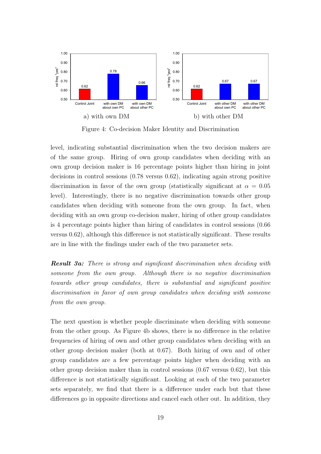

Figure 4: Co-decision Maker Identity and Discrimination

level, indicating substantial discrimination when the two decision makers are of the same group. Hiring of own group candidates when deciding with an own group decision maker is 16 percentage points higher than hiring in joint decisions in control sessions (0.78 versus 0.62), indicating again strong positive discrimination in favor of the own group (statistically significant at  $\alpha = 0.05$ ) level). Interestingly, there is no negative discrimination towards other group candidates when deciding with someone from the own group. In fact, when deciding with an own group co-decision maker, hiring of other group candidates is 4 percentage points higher than hiring of candidates in control sessions (0.66 versus 0.62), although this difference is not statistically significant. These results are in line with the findings under each of the two parameter sets.

**Result 3a:** There is strong and significant discrimination when deciding with someone from the own group. Although there is no negative discrimination towards other group candidates, there is substantial and significant positive discrimination in favor of own group candidates when deciding with someone from the own group.

The next question is whether people discriminate when deciding with someone from the other group. As Figure 4b shows, there is no difference in the relative frequencies of hiring of own and other group candidates when deciding with an other group decision maker (both at 0.67). Both hiring of own and of other group candidates are a few percentage points higher when deciding with an other group decision maker than in control sessions (0.67 versus 0.62), but this difference is not statistically significant. Looking at each of the two parameter sets separately, we find that there is a difference under each but that these differences go in opposite directions and cancel each other out. In addition, they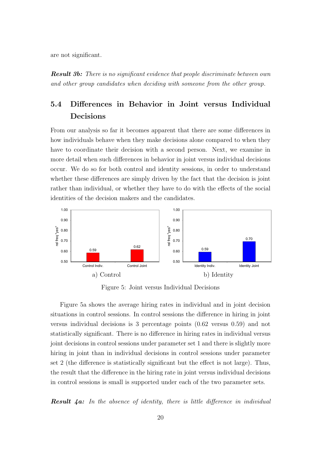are not significant.

**Result 3b:** There is no significant evidence that people discriminate between own and other group candidates when deciding with someone from the other group.

## 5.4 Differences in Behavior in Joint versus Individual Decisions

From our analysis so far it becomes apparent that there are some differences in how individuals behave when they make decisions alone compared to when they have to coordinate their decision with a second person. Next, we examine in more detail when such differences in behavior in joint versus individual decisions occur. We do so for both control and identity sessions, in order to understand whether these differences are simply driven by the fact that the decision is joint rather than individual, or whether they have to do with the effects of the social identities of the decision makers and the candidates.



Figure 5: Joint versus Individual Decisions

Figure 5a shows the average hiring rates in individual and in joint decision situations in control sessions. In control sessions the difference in hiring in joint versus individual decisions is 3 percentage points (0.62 versus 0.59) and not statistically significant. There is no difference in hiring rates in individual versus joint decisions in control sessions under parameter set 1 and there is slightly more hiring in joint than in individual decisions in control sessions under parameter set 2 (the difference is statistically significant but the effect is not large). Thus, the result that the difference in the hiring rate in joint versus individual decisions in control sessions is small is supported under each of the two parameter sets.

**Result 4a:** In the absence of identity, there is little difference in individual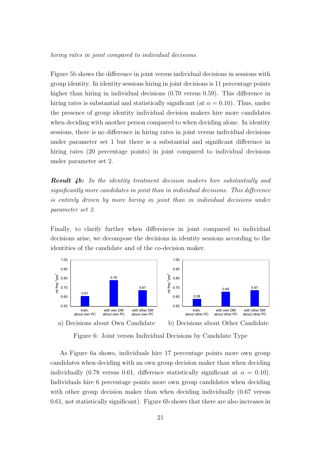hiring rates in joint compared to individual decisions.

Figure 5b shows the difference in joint versus individual decisions in sessions with group identity. In identity sessions hiring in joint decisions is 11 percentage points higher than hiring in individual decisions  $(0.70 \text{ versus } 0.59)$ . This difference in hiring rates is substantial and statistically significant (at  $\alpha = 0.10$ ). Thus, under the presence of group identity individual decision makers hire more candidates when deciding with another person compared to when deciding alone. In identity sessions, there is no difference in hiring rates in joint versus individual decisions under parameter set 1 but there is a substantial and significant difference in hiring rates (20 percentage points) in joint compared to individual decisions under parameter set 2.

Result 4b: In the identity treatment decision makers hire substantially and significantly more candidates in joint than in individual decisions. This difference is entirely driven by more hiring in joint than in individual decisions under parameter set 2.

Finally, to clarify further when differences in joint compared to individual decisions arise, we decompose the decisions in identity sessions according to the identities of the candidate and of the co-decision maker.



Figure 6: Joint versus Individual Decisions by Candidate Type

As Figure 6a shows, individuals hire 17 percentage points more own group candidates when deciding with an own group decision maker than when deciding individually (0.78 versus 0.61, difference statistically significant at  $\alpha = 0.10$ ). Individuals hire 6 percentage points more own group candidates when deciding with other group decision maker than when deciding individually  $(0.67 \text{ versus}$ 0.61, not statistically significant). Figure 6b shows that there are also increases in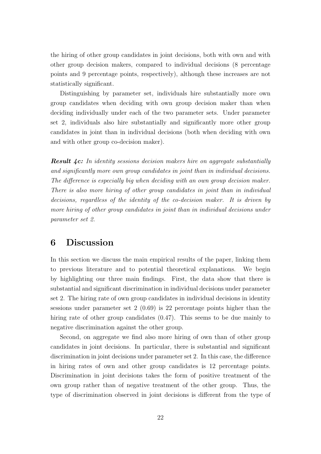the hiring of other group candidates in joint decisions, both with own and with other group decision makers, compared to individual decisions (8 percentage points and 9 percentage points, respectively), although these increases are not statistically significant.

Distinguishing by parameter set, individuals hire substantially more own group candidates when deciding with own group decision maker than when deciding individually under each of the two parameter sets. Under parameter set 2, individuals also hire substantially and significantly more other group candidates in joint than in individual decisions (both when deciding with own and with other group co-decision maker).

**Result 4c:** In identity sessions decision makers hire on aggregate substantially and significantly more own group candidates in joint than in individual decisions. The difference is especially big when deciding with an own group decision maker. There is also more hiring of other group candidates in joint than in individual decisions, regardless of the identity of the co-decision maker. It is driven by more hiring of other group candidates in joint than in individual decisions under parameter set 2.

## 6 Discussion

In this section we discuss the main empirical results of the paper, linking them to previous literature and to potential theoretical explanations. We begin by highlighting our three main findings. First, the data show that there is substantial and significant discrimination in individual decisions under parameter set 2. The hiring rate of own group candidates in individual decisions in identity sessions under parameter set 2 (0.69) is 22 percentage points higher than the hiring rate of other group candidates  $(0.47)$ . This seems to be due mainly to negative discrimination against the other group.

Second, on aggregate we find also more hiring of own than of other group candidates in joint decisions. In particular, there is substantial and significant discrimination in joint decisions under parameter set 2. In this case, the difference in hiring rates of own and other group candidates is 12 percentage points. Discrimination in joint decisions takes the form of positive treatment of the own group rather than of negative treatment of the other group. Thus, the type of discrimination observed in joint decisions is different from the type of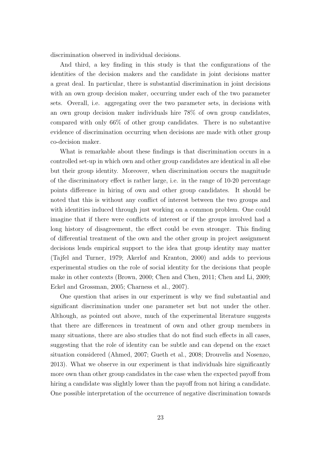discrimination observed in individual decisions.

And third, a key finding in this study is that the configurations of the identities of the decision makers and the candidate in joint decisions matter a great deal. In particular, there is substantial discrimination in joint decisions with an own group decision maker, occurring under each of the two parameter sets. Overall, i.e. aggregating over the two parameter sets, in decisions with an own group decision maker individuals hire 78% of own group candidates, compared with only 66% of other group candidates. There is no substantive evidence of discrimination occurring when decisions are made with other group co-decision maker.

What is remarkable about these findings is that discrimination occurs in a controlled set-up in which own and other group candidates are identical in all else but their group identity. Moreover, when discrimination occurs the magnitude of the discriminatory effect is rather large, i.e. in the range of 10-20 percentage points difference in hiring of own and other group candidates. It should be noted that this is without any conflict of interest between the two groups and with identities induced through just working on a common problem. One could imagine that if there were conflicts of interest or if the groups involved had a long history of disagreement, the effect could be even stronger. This finding of differential treatment of the own and the other group in project assignment decisions lends empirical support to the idea that group identity may matter (Tajfel and Turner, 1979; Akerlof and Kranton, 2000) and adds to previous experimental studies on the role of social identity for the decisions that people make in other contexts (Brown, 2000; Chen and Chen, 2011; Chen and Li, 2009; Eckel and Grossman, 2005; Charness et al., 2007).

One question that arises in our experiment is why we find substantial and significant discrimination under one parameter set but not under the other. Although, as pointed out above, much of the experimental literature suggests that there are differences in treatment of own and other group members in many situations, there are also studies that do not find such effects in all cases, suggesting that the role of identity can be subtle and can depend on the exact situation considered (Ahmed, 2007; Gueth et al., 2008; Drouvelis and Nosenzo, 2013). What we observe in our experiment is that individuals hire significantly more own than other group candidates in the case when the expected payoff from hiring a candidate was slightly lower than the payoff from not hiring a candidate. One possible interpretation of the occurrence of negative discrimination towards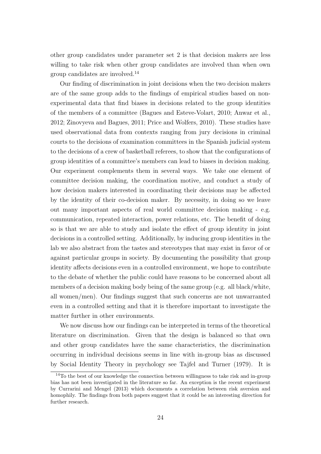other group candidates under parameter set 2 is that decision makers are less willing to take risk when other group candidates are involved than when own group candidates are involved.<sup>14</sup>

Our finding of discrimination in joint decisions when the two decision makers are of the same group adds to the findings of empirical studies based on nonexperimental data that find biases in decisions related to the group identities of the members of a committee (Bagues and Esteve-Volart, 2010; Anwar et al., 2012; Zinovyeva and Bagues, 2011; Price and Wolfers, 2010). These studies have used observational data from contexts ranging from jury decisions in criminal courts to the decisions of examination committees in the Spanish judicial system to the decisions of a crew of basketball referees, to show that the configurations of group identities of a committee's members can lead to biases in decision making. Our experiment complements them in several ways. We take one element of committee decision making, the coordination motive, and conduct a study of how decision makers interested in coordinating their decisions may be affected by the identity of their co-decision maker. By necessity, in doing so we leave out many important aspects of real world committee decision making - e.g. communication, repeated interaction, power relations, etc. The benefit of doing so is that we are able to study and isolate the effect of group identity in joint decisions in a controlled setting. Additionally, by inducing group identities in the lab we also abstract from the tastes and stereotypes that may exist in favor of or against particular groups in society. By documenting the possibility that group identity affects decisions even in a controlled environment, we hope to contribute to the debate of whether the public could have reasons to be concerned about all members of a decision making body being of the same group (e.g. all black/white, all women/men). Our findings suggest that such concerns are not unwarranted even in a controlled setting and that it is therefore important to investigate the matter further in other environments.

We now discuss how our findings can be interpreted in terms of the theoretical literature on discrimination. Given that the design is balanced so that own and other group candidates have the same characteristics, the discrimination occurring in individual decisions seems in line with in-group bias as discussed by Social Identity Theory in psychology see Tajfel and Turner (1979). It is

 $14$ To the best of our knowledge the connection between willingness to take risk and in-group bias has not been investigated in the literature so far. An exception is the recent experiment by Currarini and Mengel (2013) which documents a correlation between risk aversion and homophily. The findings from both papers suggest that it could be an interesting direction for further research.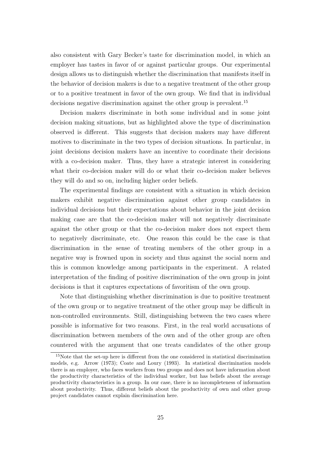also consistent with Gary Becker's taste for discrimination model, in which an employer has tastes in favor of or against particular groups. Our experimental design allows us to distinguish whether the discrimination that manifests itself in the behavior of decision makers is due to a negative treatment of the other group or to a positive treatment in favor of the own group. We find that in individual decisions negative discrimination against the other group is prevalent.<sup>15</sup>

Decision makers discriminate in both some individual and in some joint decision making situations, but as highlighted above the type of discrimination observed is different. This suggests that decision makers may have different motives to discriminate in the two types of decision situations. In particular, in joint decisions decision makers have an incentive to coordinate their decisions with a co-decision maker. Thus, they have a strategic interest in considering what their co-decision maker will do or what their co-decision maker believes they will do and so on, including higher order beliefs.

The experimental findings are consistent with a situation in which decision makers exhibit negative discrimination against other group candidates in individual decisions but their expectations about behavior in the joint decision making case are that the co-decision maker will not negatively discriminate against the other group or that the co-decision maker does not expect them to negatively discriminate, etc. One reason this could be the case is that discrimination in the sense of treating members of the other group in a negative way is frowned upon in society and thus against the social norm and this is common knowledge among participants in the experiment. A related interpretation of the finding of positive discrimination of the own group in joint decisions is that it captures expectations of favoritism of the own group.

Note that distinguishing whether discrimination is due to positive treatment of the own group or to negative treatment of the other group may be difficult in non-controlled environments. Still, distinguishing between the two cases where possible is informative for two reasons. First, in the real world accusations of discrimination between members of the own and of the other group are often countered with the argument that one treats candidates of the other group

<sup>&</sup>lt;sup>15</sup>Note that the set-up here is different from the one considered in statistical discrimination models, e.g. Arrow (1973); Coate and Loury (1993). In statistical discrimination models there is an employer, who faces workers from two groups and does not have information about the productivity characteristics of the individual worker, but has beliefs about the average productivity characteristics in a group. In our case, there is no incompleteness of information about productivity. Thus, different beliefs about the productivity of own and other group project candidates cannot explain discrimination here.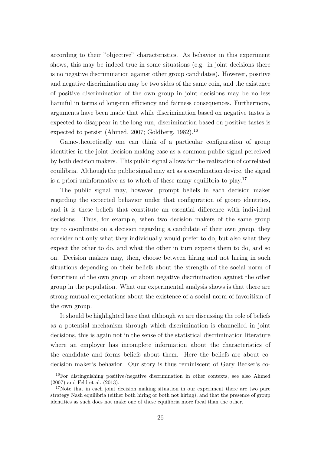according to their "objective" characteristics. As behavior in this experiment shows, this may be indeed true in some situations (e.g. in joint decisions there is no negative discrimination against other group candidates). However, positive and negative discrimination may be two sides of the same coin, and the existence of positive discrimination of the own group in joint decisions may be no less harmful in terms of long-run efficiency and fairness consequences. Furthermore, arguments have been made that while discrimination based on negative tastes is expected to disappear in the long run, discrimination based on positive tastes is expected to persist (Ahmed, 2007; Goldberg, 1982).<sup>16</sup>

Game-theoretically one can think of a particular configuration of group identities in the joint decision making case as a common public signal perceived by both decision makers. This public signal allows for the realization of correlated equilibria. Although the public signal may act as a coordination device, the signal is a priori uninformative as to which of these many equilibria to play.<sup>17</sup>

The public signal may, however, prompt beliefs in each decision maker regarding the expected behavior under that configuration of group identities, and it is these beliefs that constitute an essential difference with individual decisions. Thus, for example, when two decision makers of the same group try to coordinate on a decision regarding a candidate of their own group, they consider not only what they individually would prefer to do, but also what they expect the other to do, and what the other in turn expects them to do, and so on. Decision makers may, then, choose between hiring and not hiring in such situations depending on their beliefs about the strength of the social norm of favoritism of the own group, or about negative discrimination against the other group in the population. What our experimental analysis shows is that there are strong mutual expectations about the existence of a social norm of favoritism of the own group.

It should be highlighted here that although we are discussing the role of beliefs as a potential mechanism through which discrimination is channelled in joint decisions, this is again not in the sense of the statistical discrimination literature where an employer has incomplete information about the characteristics of the candidate and forms beliefs about them. Here the beliefs are about codecision maker's behavior. Our story is thus reminiscent of Gary Becker's co-

 $16$ For distinguishing positive/negative discrimination in other contexts, see also Ahmed (2007) and Feld et al. (2013).

 $17$ Note that in each joint decision making situation in our experiment there are two pure strategy Nash equilibria (either both hiring or both not hiring), and that the presence of group identities as such does not make one of these equilibria more focal than the other.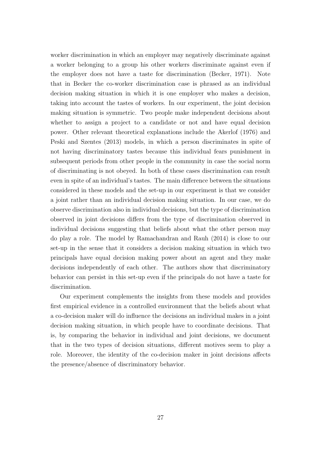worker discrimination in which an employer may negatively discriminate against a worker belonging to a group his other workers discriminate against even if the employer does not have a taste for discrimination (Becker, 1971). Note that in Becker the co-worker discrimination case is phrased as an individual decision making situation in which it is one employer who makes a decision, taking into account the tastes of workers. In our experiment, the joint decision making situation is symmetric. Two people make independent decisions about whether to assign a project to a candidate or not and have equal decision power. Other relevant theoretical explanations include the Akerlof (1976) and Peski and Szentes (2013) models, in which a person discriminates in spite of not having discriminatory tastes because this individual fears punishment in subsequent periods from other people in the community in case the social norm of discriminating is not obeyed. In both of these cases discrimination can result even in spite of an individual's tastes. The main difference between the situations considered in these models and the set-up in our experiment is that we consider a joint rather than an individual decision making situation. In our case, we do observe discrimination also in individual decisions, but the type of discrimination observed in joint decisions differs from the type of discrimination observed in individual decisions suggesting that beliefs about what the other person may do play a role. The model by Ramachandran and Rauh (2014) is close to our set-up in the sense that it considers a decision making situation in which two principals have equal decision making power about an agent and they make decisions independently of each other. The authors show that discriminatory behavior can persist in this set-up even if the principals do not have a taste for discrimination.

Our experiment complements the insights from these models and provides first empirical evidence in a controlled environment that the beliefs about what a co-decision maker will do influence the decisions an individual makes in a joint decision making situation, in which people have to coordinate decisions. That is, by comparing the behavior in individual and joint decisions, we document that in the two types of decision situations, different motives seem to play a role. Moreover, the identity of the co-decision maker in joint decisions affects the presence/absence of discriminatory behavior.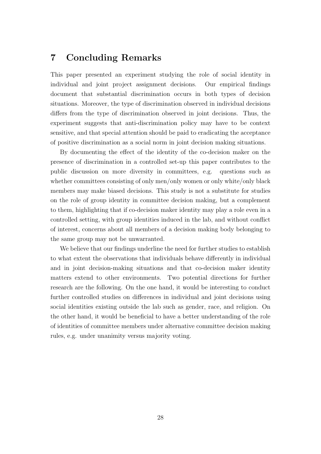## 7 Concluding Remarks

This paper presented an experiment studying the role of social identity in individual and joint project assignment decisions. Our empirical findings document that substantial discrimination occurs in both types of decision situations. Moreover, the type of discrimination observed in individual decisions differs from the type of discrimination observed in joint decisions. Thus, the experiment suggests that anti-discrimination policy may have to be context sensitive, and that special attention should be paid to eradicating the acceptance of positive discrimination as a social norm in joint decision making situations.

By documenting the effect of the identity of the co-decision maker on the presence of discrimination in a controlled set-up this paper contributes to the public discussion on more diversity in committees, e.g. questions such as whether committees consisting of only men/only women or only white/only black members may make biased decisions. This study is not a substitute for studies on the role of group identity in committee decision making, but a complement to them, highlighting that if co-decision maker identity may play a role even in a controlled setting, with group identities induced in the lab, and without conflict of interest, concerns about all members of a decision making body belonging to the same group may not be unwarranted.

We believe that our findings underline the need for further studies to establish to what extent the observations that individuals behave differently in individual and in joint decision-making situations and that co-decision maker identity matters extend to other environments. Two potential directions for further research are the following. On the one hand, it would be interesting to conduct further controlled studies on differences in individual and joint decisions using social identities existing outside the lab such as gender, race, and religion. On the other hand, it would be beneficial to have a better understanding of the role of identities of committee members under alternative committee decision making rules, e.g. under unanimity versus majority voting.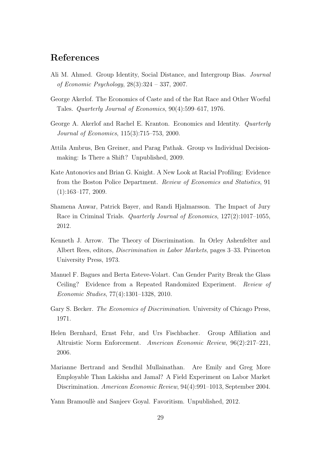## References

- Ali M. Ahmed. Group Identity, Social Distance, and Intergroup Bias. Journal of Economic Psychology, 28(3):324 – 337, 2007.
- George Akerlof. The Economics of Caste and of the Rat Race and Other Woeful Tales. Quarterly Journal of Economics, 90(4):599–617, 1976.
- George A. Akerlof and Rachel E. Kranton. Economics and Identity. Quarterly Journal of Economics, 115(3):715–753, 2000.
- Attila Ambrus, Ben Greiner, and Parag Pathak. Group vs Individual Decisionmaking: Is There a Shift? Unpublished, 2009.
- Kate Antonovics and Brian G. Knight. A New Look at Racial Profiling: Evidence from the Boston Police Department. Review of Economics and Statistics, 91  $(1):163-177, 2009.$
- Shamena Anwar, Patrick Bayer, and Randi Hjalmarsson. The Impact of Jury Race in Criminal Trials. Quarterly Journal of Economics, 127(2):1017–1055, 2012.
- Kenneth J. Arrow. The Theory of Discrimination. In Orley Ashenfelter and Albert Rees, editors, Discrimination in Labor Markets, pages 3–33. Princeton University Press, 1973.
- Manuel F. Bagues and Berta Esteve-Volart. Can Gender Parity Break the Glass Ceiling? Evidence from a Repeated Randomized Experiment. Review of Economic Studies, 77(4):1301–1328, 2010.
- Gary S. Becker. *The Economics of Discrimination*. University of Chicago Press, 1971.
- Helen Bernhard, Ernst Fehr, and Urs Fischbacher. Group Affiliation and Altruistic Norm Enforcement. American Economic Review, 96(2):217–221, 2006.
- Marianne Bertrand and Sendhil Mullainathan. Are Emily and Greg More Employable Than Lakisha and Jamal? A Field Experiment on Labor Market Discrimination. American Economic Review, 94(4):991–1013, September 2004.

Yann Bramoullè and Sanjeev Goyal. Favoritism. Unpublished, 2012.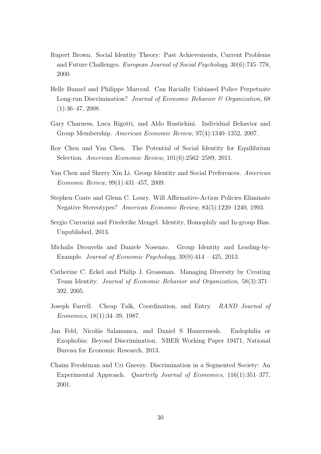- Rupert Brown. Social Identity Theory: Past Achievements, Current Problems and Future Challenges. European Journal of Social Psychology, 30(6):745–778, 2000.
- Helle Bunzel and Philippe Marcoul. Can Racially Unbiased Police Perpetuate Long-run Discrimination? Journal of Economic Behavior & Organization, 68  $(1):36-47, 2008.$
- Gary Charness, Luca Rigotti, and Aldo Rustichini. Individual Behavior and Group Membership. American Economic Review, 97(4):1340–1352, 2007.
- Roy Chen and Yan Chen. The Potential of Social Identity for Equilibrium Selection. American Economic Review, 101(6):2562–2589, 2011.
- Yan Chen and Sherry Xin Li. Group Identity and Social Preferences. American Economic Review, 99(1):431–457, 2009.
- Stephen Coate and Glenn C. Loury. Will Affirmative-Action Policies Eliminate Negative Stereotypes? American Economic Review, 83(5):1220–1240, 1993.
- Sergio Currarini and Friederike Mengel. Identity, Homophily and In-group Bias. Unpublished, 2013.
- Michalis Drouvelis and Daniele Nosenzo. Group Identity and Leading-by-Example. Journal of Economic Psychology,  $39(0):414 - 425$ ,  $2013$ .
- Catherine C. Eckel and Philip J. Grossman. Managing Diversity by Creating Team Identity. Journal of Economic Behavior and Organization, 58(3):371– 392, 2005.
- Joseph Farrell. Cheap Talk, Coordination, and Entry. RAND Journal of Economics, 18(1):34–39, 1987.
- Jan Feld, Nicolás Salamanca, and Daniel S Hamermesh. Endophilia or Exophobia: Beyond Discrimination. NBER Working Paper 19471, National Bureau for Economic Research, 2013.
- Chaim Fershtman and Uri Gneezy. Discrimination in a Segmented Society: An Experimental Approach. Quarterly Journal of Economics, 116(1):351–377, 2001.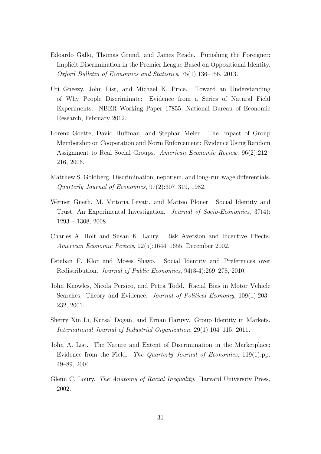- Edoardo Gallo, Thomas Grund, and James Reade. Punishing the Foreigner: Implicit Discrimination in the Premier League Based on Oppositional Identity. Oxford Bulletin of Economics and Statistics, 75(1):136–156, 2013.
- Uri Gneezy, John List, and Michael K. Price. Toward an Understanding of Why People Discriminate: Evidence from a Series of Natural Field Experiments. NBER Working Paper 17855, National Bureau of Economic Research, February 2012.
- Lorenz Goette, David Huffman, and Stephan Meier. The Impact of Group Membership on Cooperation and Norm Enforcement: Evidence Using Random Assignment to Real Social Groups. American Economic Review, 96(2):212– 216, 2006.
- Matthew S. Goldberg. Discrimination, nepotism, and long-run wage differentials. Quarterly Journal of Economics, 97(2):307–319, 1982.
- Werner Gueth, M. Vittoria Levati, and Matteo Ploner. Social Identity and Trust. An Experimental Investigation. Journal of Socio-Economics, 37(4): 1293 – 1308, 2008.
- Charles A. Holt and Susan K. Laury. Risk Aversion and Incentive Effects. American Economic Review, 92(5):1644–1655, December 2002.
- Esteban F. Klor and Moses Shayo. Social Identity and Preferences over Redistribution. Journal of Public Economics, 94(3-4):269–278, 2010.
- John Knowles, Nicola Persico, and Petra Todd. Racial Bias in Motor Vehicle Searches: Theory and Evidence. *Journal of Political Economy*, 109(1):203– 232, 2001.
- Sherry Xin Li, Kutsal Dogan, and Ernan Haruvy. Group Identity in Markets. International Journal of Industrial Organization, 29(1):104–115, 2011.
- John A. List. The Nature and Extent of Discrimination in the Marketplace: Evidence from the Field. The Quarterly Journal of Economics, 119(1):pp. 49–89, 2004.
- Glenn C. Loury. The Anatomy of Racial Inequality. Harvard University Press, 2002.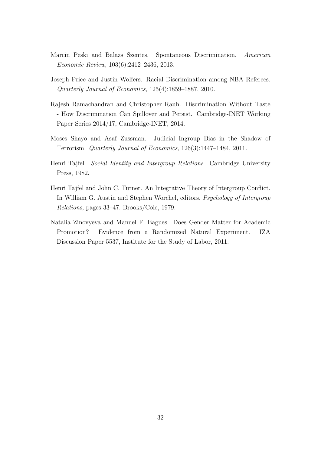- Marcin Peski and Balazs Szentes. Spontaneous Discrimination. American Economic Review, 103(6):2412–2436, 2013.
- Joseph Price and Justin Wolfers. Racial Discrimination among NBA Referees. Quarterly Journal of Economics, 125(4):1859–1887, 2010.
- Rajesh Ramachandran and Christopher Rauh. Discrimination Without Taste - How Discrimination Can Spillover and Persist. Cambridge-INET Working Paper Series 2014/17, Cambridge-INET, 2014.
- Moses Shayo and Asaf Zussman. Judicial Ingroup Bias in the Shadow of Terrorism. Quarterly Journal of Economics, 126(3):1447–1484, 2011.
- Henri Tajfel. Social Identity and Intergroup Relations. Cambridge University Press, 1982.
- Henri Tajfel and John C. Turner. An Integrative Theory of Intergroup Conflict. In William G. Austin and Stephen Worchel, editors, Psychology of Intergroup Relations, pages 33–47. Brooks/Cole, 1979.
- Natalia Zinovyeva and Manuel F. Bagues. Does Gender Matter for Academic Promotion? Evidence from a Randomized Natural Experiment. IZA Discussion Paper 5537, Institute for the Study of Labor, 2011.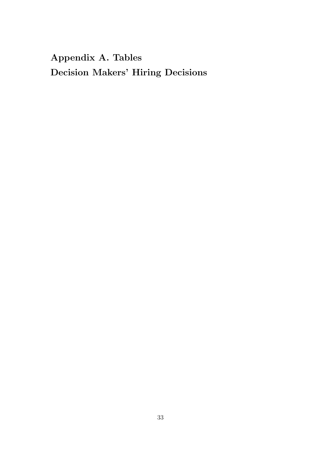## Appendix A. Tables Decision Makers' Hiring Decisions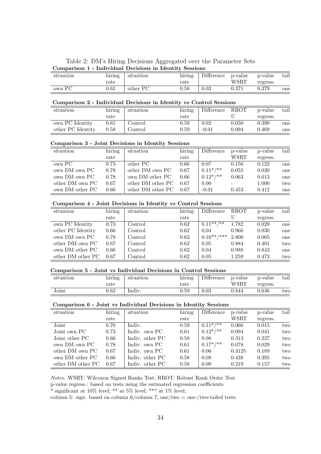| Table 2: DM's Hiring Decisions Aggregated over the Parameter Sets |  |
|-------------------------------------------------------------------|--|
| Comparison 1 - Individual Decisions in Identity Sessions          |  |

| __        |                           |           |               |            |         |          |               |
|-----------|---------------------------|-----------|---------------|------------|---------|----------|---------------|
| situation | $\cdot$ $\cdot$<br>hiring | situation | . .<br>hiring | Difference | p-value | p-value  | $_{\rm tail}$ |
|           | $_\mathrm{rate}$          |           | rate          |            | WSRT    | regress. |               |
| own PC    | $0.61\,$                  | other PC  | $0.58\,$      | 0.03       | 0.371   | 0.379    | one           |

#### Comparison 2 - Individual Decisions in Identity vs Control Sessions

| situation         | hiring     | situation                | hiring     | Difference | <b>RROT</b> | p-value  | tail |
|-------------------|------------|--------------------------|------------|------------|-------------|----------|------|
|                   | rate       |                          | rate       |            |             | regress. |      |
| own PC Identity   | $\rm 0.61$ | Control                  | $0.59\,$   | 0.02       | 0.050       | 0.390    | one  |
| other PC Identity | $\rm 0.58$ | $\mathop{{\rm Control}}$ | $\rm 0.59$ | $-0.01$    | 0.094       | 0.469    | one  |

#### Comparison 3 - Joint Decisions in Identity Sessions

| hiring | situation         | hiring | Difference   | p-value                  | p-value  | tail |
|--------|-------------------|--------|--------------|--------------------------|----------|------|
| rate   |                   | rate   |              | WSRT                     | regress. |      |
| 0.73   | other PC          | 0.66   | 0.07         | 0.156                    | 0.122    | one  |
| 0.78   | other DM own PC   | 0.67   | $0.11^*/$ ** | 0.055                    | 0.030    | one  |
| 0.78   | own DM other PC   | 0.66   | $0.12^*/$ ** | 0.063                    | 0.013    | one  |
| 0.67   | other DM other PC | 0.67   | 0.00         | $\overline{\phantom{a}}$ | 1.000    | two  |
| 0.66   | other DM other PC | 0.67   | $-0.01$      | 0.453                    | 0.412    | one  |
|        |                   |        |              |                          |          |      |

#### Comparison 4 - Joint Decisions in Identity vs Control Sessions

| situation         | hiring | situation | hiring | Difference     | <b>RROT</b> | p-value  | tail |
|-------------------|--------|-----------|--------|----------------|-------------|----------|------|
|                   | rate   |           | rate   |                |             | regress. |      |
| own PC Identity   | 0.73   | Control   | 0.62   | $0.11***$ /**  | 1.782       | 0.029    | one  |
| other PC Identity | 0.66   | Control   | 0.62   | 0.04           | 0.966       | 0.830    | one  |
| own DM own PC     | 0.78   | Control   | 0.62   | $0.16***$ /*** | 2.800       | 0.005    | one  |
| other DM own PC   | 0.67   | Control   | 0.62   | 0.05           | 0.884       | 0.401    | two  |
| own DM other PC   | 0.66   | Control   | 0.62   | 0.04           | 0.988       | 0.843    | one  |
| other DM other PC | 0.67   | Control   | 0.62   | 0.05           | 1.259       | 0.473    | two  |

#### Comparison 5 - Joint vs Individual Decisions in Control Sessions

| situation | $\cdot$ $\cdot$<br>hırıng | situation | . .<br>hiring | Difference | p-value | p-value  | tail |
|-----------|---------------------------|-----------|---------------|------------|---------|----------|------|
|           | rate                      |           | rate          |            | WSRT    | regress. |      |
| Joint     | 0.62                      | Indiv.    | $0.59\,$      | $\rm 0.03$ | 0.844   | 0.646    | two  |

#### Comparison 6 - Joint vs Individual Decisions in Identity Sessions

| situation         | $\overline{\text{hiring}}$ | situation       | hiring | Difference    | p-value | p-value  | tail |
|-------------------|----------------------------|-----------------|--------|---------------|---------|----------|------|
|                   | rate                       |                 | rate   |               | WSRT    | regress. |      |
| Joint             | 0.70                       | Indiv.          | 0.59   | $0.11^{*/**}$ | 0.066   | 0.015    | two  |
| Joint own PC      | 0.73                       | Indiv. own PC   | 0.61   | $0.12^*/$ **  | 0.094   | 0.041    | two  |
| Joint other PC    | 0.66                       | Indiv. other PC | 0.58   | 0.08          | 0.313   | 0.227    | two  |
| own DM own PC     | 0.78                       | Indiv. own PC   | 0.61   | $0.17^*/$ **  | 0.078   | 0.029    | two  |
| other DM own PC   | 0.67                       | Indiv. own PC   | 0.61   | 0.06          | 0.3125  | 0.189    | two  |
| own DM other PC   | 0.66                       | Indiv. other PC | 0.58   | 0.08          | 0.438   | 0.395    | two  |
| other DM other PC | 0.67                       | Indiv. other PC | 0.58   | 0.09          | 0.219   | 0.157    | two  |

Notes. WSRT: Wilcoxon Signed Ranks Test; RROT: Robust Rank Order Test

p-value regress.: based on tests using the estimated regression coefficients

 $^*$  significant at 10% level;  $^{**}$  at 5% level;  $^{***}$  at 1% level;

column 5: sign. based on column 6/column 7; one/two = one-/two-tailed tests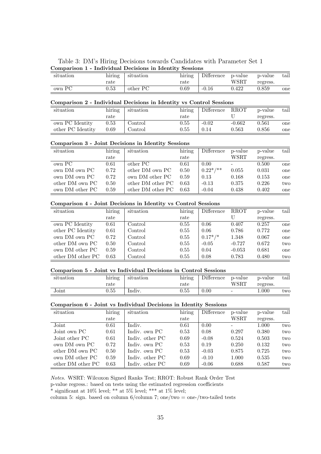|  |  | Table 3: DM's Hiring Decisions towards Candidates with Parameter Set 1 |  |  |
|--|--|------------------------------------------------------------------------|--|--|
|  |  | Comparison 1 - Individual Decisions in Identity Sessions               |  |  |

| situation | $\cdot$ $\cdot$<br>hırıng<br>rate | situation | . .<br>hiring<br>rate | Difference | p-value<br>WSRT | p-value<br>regress. | tail |
|-----------|-----------------------------------|-----------|-----------------------|------------|-----------------|---------------------|------|
| own PC    | $\rm 0.53$                        | other PC  | 0.69                  | $-0.16$    | 0.422           | 0.859               | one  |

#### Comparison 2 - Individual Decisions in Identity vs Control Sessions

| situation         | hiring | situation | hiring           | Difference | <b>RROT</b> | p-value  | tail |
|-------------------|--------|-----------|------------------|------------|-------------|----------|------|
|                   | rate   |           | $_\mathrm{rate}$ |            |             | regress. |      |
| own PC Identity   | 0.53   | Control   | 0.55             | $-0.02$    | $-0.662$    | 0.561    | one  |
| other PC Identity | 0.69   | Control   | 0.55             | 0.14       | 0.563       | 0.856    | one  |

#### Comparison 3 - Joint Decisions in Identity Sessions

| situation       | hiring | situation         | hiring | Difference   | p-value | p-value  | tail |
|-----------------|--------|-------------------|--------|--------------|---------|----------|------|
|                 | rate   |                   | rate   |              | WSRT    | regress. |      |
| own PC          | 0.61   | other PC          | 0.61   | 0.00         |         | 0.500    | one  |
| own DM own PC   | 0.72   | other DM own PC   | 0.50   | $0.22^*/$ ** | 0.055   | 0.031    | one  |
| own DM own PC   | 0.72   | own DM other PC   | 0.59   | 0.13         | 0.168   | 0.153    | one  |
| other DM own PC | 0.50   | other DM other PC | 0.63   | $-0.13$      | 0.375   | 0.226    | two  |
| own DM other PC | 0.59   | other DM other PC | 0.63   | $-0.04$      | 0.438   | 0.402    | one  |

#### Comparison 4 - Joint Decisions in Identity vs Control Sessions

| situation         | hiring | situation | hiring | Difference | <b>RROT</b> | p-value  | tail |
|-------------------|--------|-----------|--------|------------|-------------|----------|------|
|                   | rate   |           | rate   |            |             | regress. |      |
| own PC Identity   | 0.61   | Control   | 0.55   | 0.06       | 0.407       | 0.257    | one  |
| other PC Identity | 0.61   | Control   | 0.55   | 0.06       | 0.786       | 0.772    | one  |
| own DM own PC     | 0.72   | Control   | 0.55   | $0.17^*/*$ | 1.348       | 0.067    | one  |
| other DM own PC   | 0.50   | Control   | 0.55   | $-0.05$    | $-0.727$    | 0.672    | two  |
| own DM other PC   | 0.59   | Control   | 0.55   | 0.04       | $-0.053$    | 0.681    | one  |
| other DM other PC | 0.63   | Control   | 0.55   | 0.08       | 0.783       | 0.480    | two  |

#### Comparison 5 - Joint vs Individual Decisions in Control Sessions

| situation | $\cdot$ .<br>hırıng | situation | . .<br>hiring | Difference | p-value                  | p-value  | $\mathrm{tail}$ |
|-----------|---------------------|-----------|---------------|------------|--------------------------|----------|-----------------|
|           | $_\mathrm{rate}$    |           | rate          |            | WSRT                     | regress. |                 |
| Joint     | $0.55\,$            | Indiv.    | $\rm 0.55$    | 0.00       | $\overline{\phantom{0}}$ | $000$ .  | two             |

#### Comparison 6 - Joint vs Individual Decisions in Identity Sessions

| situation         | hiring | situation       | $\overline{\text{hiring}}$ | Difference | p-value | p-value  | tail |
|-------------------|--------|-----------------|----------------------------|------------|---------|----------|------|
|                   | rate   |                 | rate                       |            | WSRT    | regress. |      |
| Joint             | 0.61   | Indiv.          | 0.61                       | 0.00       |         | 1.000    | two  |
| Joint own PC      | 0.61   | Indiv. own PC   | 0.53                       | 0.08       | 0.297   | 0.380    | two  |
| Joint other PC    | 0.61   | Indiv. other PC | 0.69                       | $-0.08$    | 0.524   | 0.503    | two  |
| own DM own PC     | 0.72   | Indiv. own PC   | 0.53                       | 0.19       | 0.250   | 0.132    | two  |
| other DM own PC   | 0.50   | Indiv. own PC   | 0.53                       | $-0.03$    | 0.875   | 0.725    | two  |
| own DM other PC   | 0.59   | Indiv. other PC | 0.69                       | $-0.10$    | 1.000   | 0.535    | two  |
| other DM other PC | 0.63   | Indiv. other PC | 0.69                       | $-0.06$    | 0.688   | 0.587    | two  |

Notes. WSRT: Wilcoxon Signed Ranks Test; RROT: Robust Rank Order Test

p-value regress.: based on tests using the estimated regression coefficients

 $^*$  significant at 10% level;  $^{**}$  at 5% level;  $^{***}$  at 1% level;

column 5: sign. based on column 6/column 7; one/two = one-/two-tailed tests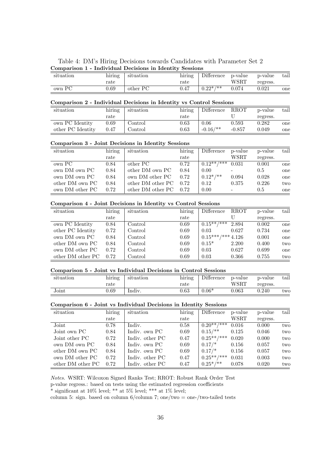|  |  | Table 4: DM's Hiring Decisions towards Candidates with Parameter Set 2 |  |  |
|--|--|------------------------------------------------------------------------|--|--|
|  |  | Comparison 1 - Individual Decisions in Identity Sessions               |  |  |

| situation | $\cdot$ $\cdot$<br>hırıng<br>rate | situation | $\cdot$ .<br>hiring<br>$_\mathrm{rate}$ | Difference  | p-value<br>WSRT | p-value<br>regress. | tail |
|-----------|-----------------------------------|-----------|-----------------------------------------|-------------|-----------------|---------------------|------|
| own PC    | 0.69                              | other PC  | $0.47\,$                                | $0.22^*/**$ | 0.074           | 0.021               | one  |

#### Comparison 2 - Individual Decisions in Identity vs Control Sessions

| situation         | hiring | situation | hiring           | Difference  | RROT     | p-value  | tail |
|-------------------|--------|-----------|------------------|-------------|----------|----------|------|
|                   | rate   |           | $_\mathrm{rate}$ |             |          | regress. |      |
| own PC Identity   | 0.69   | Control   | 0.63             | 0.06        | 0.593    | 0.282    | one  |
| other PC Identity | 0.47   | Control   | 0.63             | $-0.16$ /** | $-0.857$ | 0.049    | one  |

#### Comparison 3 - Joint Decisions in Identity Sessions

| hiring | situation         | hiring | Difference   | p-value                  | p-value          | tail |
|--------|-------------------|--------|--------------|--------------------------|------------------|------|
| rate   |                   | rate   |              | WSRT                     | regress.         |      |
| 0.84   | other PC          | 0.72   |              | 0.031                    | 0.001            | one  |
| 0.84   | other DM own PC   | 0.84   | 0.00         | $\overline{\phantom{a}}$ | 0.5              | one  |
| 0.84   | own DM other PC   | 0.72   | $0.12^*/$ ** | 0.094                    | 0.028            | one  |
| 0.84   | other DM other PC | 0.72   | 0.12         | 0.375                    | 0.226            | two  |
| 0.72   | other DM other PC | 0.72   | 0.00         |                          | 0.5              | one  |
|        |                   |        |              |                          | $0.12^{**}$ /*** |      |

#### Comparison 4 - Joint Decisions in Identity vs Control Sessions

| situation         | hiring | situation | hiring | Difference       | <b>RROT</b> | p-value  | tail |
|-------------------|--------|-----------|--------|------------------|-------------|----------|------|
|                   | rate   |           | rate   |                  |             | regress. |      |
| own PC Identity   | 0.84   | Control   | 0.69   | $0.15^{**}$ /*** | 2.894       | 0.002    | one  |
| other PC Identity | 0.72   | Control   | 0.69   | 0.03             | 0.627       | 0.734    | one  |
| own DM own PC     | 0.84   | Control   | 0.69   | $0.15***$ /***   | 4.126       | 0.001    | one  |
| other DM own PC   | 0.84   | Control   | 0.69   | $0.15*$          | 2.200       | 0.400    | two  |
| own DM other PC   | 0.72   | Control   | 0.69   | 0.03             | 0.627       | 0.699    | one  |
| other DM other PC | 0.72   | Control   | 0.69   | 0.03             | 0.366       | 0.755    | two  |

#### Comparison 5 - Joint vs Individual Decisions in Control Sessions

| situation | $\cdot$ .<br>hiring | situation | . .<br>hiring | Difference | p-value     | p-value  | $\mathrm{tail}$ |
|-----------|---------------------|-----------|---------------|------------|-------------|----------|-----------------|
|           | $_\mathrm{rate}$    |           | rate          |            | WSRT        | regress. |                 |
| Joint     | J.69                | Indiv.    | $0.63\,$      | $0.06*$    | $\,0.063\,$ | 0.240    | two             |

#### Comparison 6 - Joint vs Individual Decisions in Identity Sessions

| situation         | hiring | situation       | $\overline{\text{hiring}}$ | Difference     | p-value | p-value  | tail |
|-------------------|--------|-----------------|----------------------------|----------------|---------|----------|------|
|                   | rate   |                 | rate                       |                | WSRT    | regress. |      |
| Joint             | 0.78   | Indiv.          | 0.58                       | $0.20***$ /*** | 0.016   | 0.000    | two  |
| Joint own PC      | 0.84   | Indiv. own PC   | 0.69                       | $0.15/*$       | 0.125   | 0.046    | two  |
| Joint other PC    | 0.72   | Indiv. other PC | 0.47                       | $0.25***$ /*** | 0.020   | 0.000    | two  |
| own DM own PC     | 0.84   | Indiv. own PC   | 0.69                       | $0.17/*$       | 0.156   | 0.057    | two  |
| other DM own PC   | 0.84   | Indiv. own PC   | 0.69                       | $0.17/*$       | 0.156   | 0.057    | two  |
| own DM other PC   | 0.72   | Indiv. other PC | 0.47                       | $0.25***$ /*** | 0.031   | 0.003    | two  |
| other DM other PC | 0.72   | Indiv. other PC | 0.47                       | $0.25^*/$ **   | 0.078   | 0.020    | two  |

Notes. WSRT: Wilcoxon Signed Ranks Test; RROT: Robust Rank Order Test

p-value regress.: based on tests using the estimated regression coefficients

 $^*$  significant at 10% level;  $^{**}$  at 5% level;  $^{***}$  at 1% level;

column 5: sign. based on column 6/column 7; one/two = one-/two-tailed tests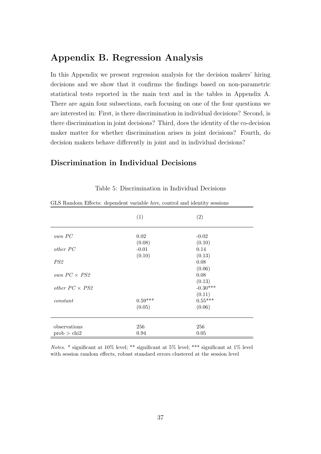# Appendix B. Regression Analysis

In this Appendix we present regression analysis for the decision makers' hiring decisions and we show that it confirms the findings based on non-parametric statistical tests reported in the main text and in the tables in Appendix A. There are again four subsections, each focusing on one of the four questions we are interested in: First, is there discrimination in individual decisions? Second, is there discrimination in joint decisions? Third, does the identity of the co-decision maker matter for whether discrimination arises in joint decisions? Fourth, do decision makers behave differently in joint and in individual decisions?

# Discrimination in Individual Decisions

| and reduced not appointed variable <i>forc</i> , control and identity besitens | (1)               | (2)                 |
|--------------------------------------------------------------------------------|-------------------|---------------------|
| own PC                                                                         | 0.02              | $-0.02$             |
| $other\;PC$                                                                    | (0.08)<br>$-0.01$ | (0.10)<br>0.14      |
| PS2                                                                            | (0.10)            | (0.13)<br>0.08      |
|                                                                                |                   | (0.06)              |
| own $PC \times PS2$                                                            |                   | 0.08<br>(0.13)      |
| other $PC \times PS2$                                                          |                   | $-0.30***$          |
| constant                                                                       | $0.59***$         | (0.11)<br>$0.55***$ |
|                                                                                | (0.05)            | (0.06)              |
|                                                                                |                   |                     |
| observations                                                                   | 256               | 256                 |
| prob > chi2                                                                    | 0.94              | 0.05                |

Table 5: Discrimination in Individual Decisions

GLS Random Effects: dependent variable hire, control and identity sessions

Notes. \* significant at 10% level; \*\* significant at 5% level; \*\*\* significant at 1% level with session random effects, robust standard errors clustered at the session level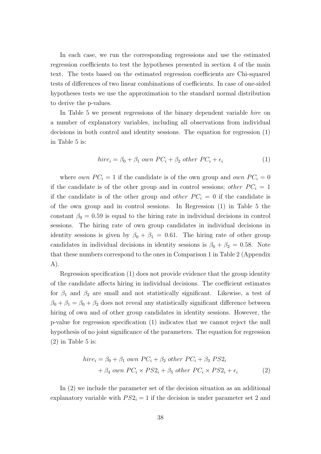In each case, we run the corresponding regressions and use the estimated regression coefficients to test the hypotheses presented in section 4 of the main text. The tests based on the estimated regression coefficients are Chi-squared tests of differences of two linear combinations of coefficients. In case of one-sided hypotheses tests we use the approximation to the standard normal distribution to derive the p-values.

In Table 5 we present regressions of the binary dependent variable *hire* on a number of explanatory variables, including all observations from individual decisions in both control and identity sessions. The equation for regression (1) in Table 5 is:

$$
hire_i = \beta_0 + \beta_1 \text{ own } PC_i + \beta_2 \text{ other } PC_i + \epsilon_i
$$
\n(1)

where *own*  $PC_i = 1$  if the candidate is of the own group and *own*  $PC_i = 0$ if the candidate is of the other group and in control sessions; other  $PC_i = 1$ if the candidate is of the other group and *other*  $PC_i = 0$  if the candidate is of the own group and in control sessions. In Regression (1) in Table 5 the constant  $\beta_0 = 0.59$  is equal to the hiring rate in individual decisions in control sessions. The hiring rate of own group candidates in individual decisions in identity sessions is given by  $\beta_0 + \beta_1 = 0.61$ . The hiring rate of other group candidates in individual decisions in identity sessions is  $\beta_0 + \beta_2 = 0.58$ . Note that these numbers correspond to the ones in Comparison 1 in Table 2 (Appendix A).

Regression specification (1) does not provide evidence that the group identity of the candidate affects hiring in individual decisions. The coefficient estimates for  $\beta_1$  and  $\beta_2$  are small and not statistically significant. Likewise, a test of  $\beta_0 + \beta_1 = \beta_0 + \beta_2$  does not reveal any statistically significant difference between hiring of own and of other group candidates in identity sessions. However, the p-value for regression specification (1) indicates that we cannot reject the null hypothesis of no joint significance of the parameters. The equation for regression  $(2)$  in Table 5 is:

$$
hire_i = \beta_0 + \beta_1 \text{ own } PC_i + \beta_2 \text{ other } PC_i + \beta_3 \text{ PS2}_i
$$

$$
+ \beta_4 \text{ own } PC_i \times PS2_i + \beta_5 \text{ other } PC_i \times PS2_i + \epsilon_i
$$
(2)

In (2) we include the parameter set of the decision situation as an additional explanatory variable with  $PS2<sub>i</sub> = 1$  if the decision is under parameter set 2 and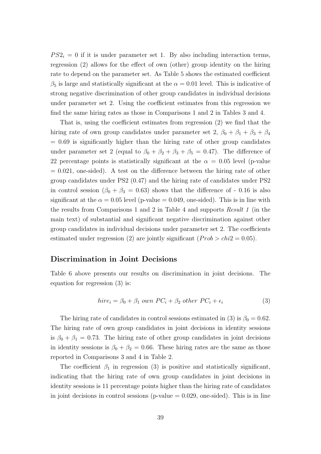$PS2<sub>i</sub> = 0$  if it is under parameter set 1. By also including interaction terms, regression (2) allows for the effect of own (other) group identity on the hiring rate to depend on the parameter set. As Table 5 shows the estimated coefficient  $\beta_5$  is large and statistically significant at the  $\alpha = 0.01$  level. This is indicative of strong negative discrimination of other group candidates in individual decisions under parameter set 2. Using the coefficient estimates from this regression we find the same hiring rates as those in Comparisons 1 and 2 in Tables 3 and 4.

That is, using the coefficient estimates from regression (2) we find that the hiring rate of own group candidates under parameter set 2,  $\beta_0 + \beta_1 + \beta_3 + \beta_4$  $= 0.69$  is significantly higher than the hiring rate of other group candidates under parameter set 2 (equal to  $\beta_0 + \beta_2 + \beta_3 + \beta_5 = 0.47$ ). The difference of 22 percentage points is statistically significant at the  $\alpha = 0.05$  level (p-value  $= 0.021$ , one-sided). A test on the difference between the hiring rate of other group candidates under PS2 (0.47) and the hiring rate of candidates under PS2 in control session  $(\beta_0 + \beta_3 = 0.63)$  shows that the difference of - 0.16 is also significant at the  $\alpha = 0.05$  level (p-value = 0.049, one-sided). This is in line with the results from Comparisons 1 and 2 in Table 4 and supports Result 1 (in the main text) of substantial and significant negative discrimination against other group candidates in individual decisions under parameter set 2. The coefficients estimated under regression (2) are jointly significant ( $Prob > chi2 = 0.05$ ).

# Discrimination in Joint Decisions

Table 6 above presents our results on discrimination in joint decisions. The equation for regression (3) is:

$$
hire_i = \beta_0 + \beta_1 \text{ own } PC_i + \beta_2 \text{ other } PC_i + \epsilon_i
$$
\n
$$
(3)
$$

The hiring rate of candidates in control sessions estimated in (3) is  $\beta_0 = 0.62$ . The hiring rate of own group candidates in joint decisions in identity sessions is  $\beta_0 + \beta_1 = 0.73$ . The hiring rate of other group candidates in joint decisions in identity sessions is  $\beta_0 + \beta_2 = 0.66$ . These hiring rates are the same as those reported in Comparisons 3 and 4 in Table 2.

The coefficient  $\beta_1$  in regression (3) is positive and statistically significant, indicating that the hiring rate of own group candidates in joint decisions in identity sessions is 11 percentage points higher than the hiring rate of candidates in joint decisions in control sessions (p-value  $= 0.029$ , one-sided). This is in line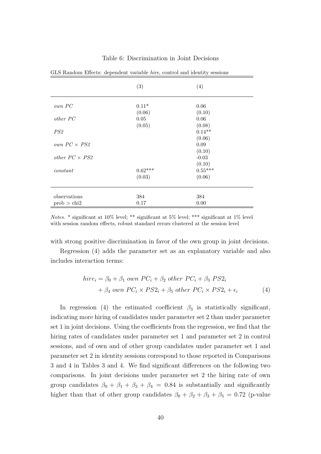|                       | (3)       | (4)       |
|-----------------------|-----------|-----------|
| own PC                | $0.11*$   | 0.06      |
|                       | (0.06)    | (0.10)    |
| other PC              | $0.05\,$  | 0.06      |
|                       | (0.05)    | (0.08)    |
| PS2                   |           | $0.14**$  |
|                       |           | (0.06)    |
| own $PC \times PS2$   |           | 0.09      |
|                       |           | (0.10)    |
| other $PC \times PS2$ |           | $-0.03$   |
|                       |           | (0.10)    |
| constant              | $0.62***$ | $0.55***$ |
|                       | (0.03)    | (0.06)    |
|                       |           |           |
| observations          | 384       | 384       |
| prob > chi2           | 0.17      | 0.00      |

#### Table 6: Discrimination in Joint Decisions

GLS Random Effects: dependent variable hire, control and identity sessions

Notes. \* significant at 10% level; \*\* significant at 5% level; \*\*\* significant at 1% level with session random effects, robust standard errors clustered at the session level

with strong positive discrimination in favor of the own group in joint decisions.

Regression (4) adds the parameter set as an explanatory variable and also includes interaction terms:

$$
hirei = \beta_0 + \beta_1 \text{ own } PC_i + \beta_2 \text{ other } PC_i + \beta_3 \text{ PS2}_i
$$
  
+ 
$$
\beta_4 \text{ own } PC_i \times PS2_i + \beta_5 \text{ other } PC_i \times PS2_i + \epsilon_i
$$
 (4)

In regression (4) the estimated coefficient  $\beta_3$  is statistically significant, indicating more hiring of candidates under parameter set 2 than under parameter set 1 in joint decisions. Using the coefficients from the regression, we find that the hiring rates of candidates under parameter set 1 and parameter set 2 in control sessions, and of own and of other group candidates under parameter set 1 and parameter set 2 in identity sessions correspond to those reported in Comparisons 3 and 4 in Tables 3 and 4. We find significant differences on the following two comparisons. In joint decisions under parameter set 2 the hiring rate of own group candidates  $\beta_0 + \beta_1 + \beta_3 + \beta_4 = 0.84$  is substantially and significantly higher than that of other group candidates  $\beta_0 + \beta_2 + \beta_3 + \beta_5 = 0.72$  (p-value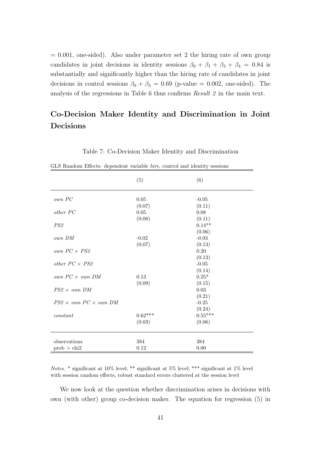$= 0.001$ , one-sided). Also under parameter set 2 the hiring rate of own group candidates in joint decisions in identity sessions  $\beta_0 + \beta_1 + \beta_3 + \beta_4 = 0.84$  is substantially and significantly higher than the hiring rate of candidates in joint decisions in control sessions  $\beta_0 + \beta_3 = 0.69$  (p-value = 0.002, one-sided). The analysis of the regressions in Table 6 thus confirms Result 2 in the main text.

# Co-Decision Maker Identity and Discrimination in Joint Decisions

|                                   | (5)       | (6)        |
|-----------------------------------|-----------|------------|
| own PC                            | 0.05      | $-0.05$    |
|                                   | (0.07)    | (0.11)     |
| <i>other PC</i>                   | 0.05      | 0.08       |
|                                   | (0.08)    | (0.11)     |
| PS2                               |           | $0.14**$   |
|                                   |           | (0.06)     |
| own DM                            | $-0.02$   | $-0.03$    |
|                                   | (0.07)    | (0.13)     |
| own $PC \times PS2$               |           | 0.20       |
|                                   |           | (0.13)     |
| other $PC \times PS2$             |           | $-0.05$    |
|                                   |           | (0.14)     |
| own $PC \times$ own DM            | 0.13      | $0.25*$    |
|                                   | (0.09)    | (0.15)     |
| $PS2 \times own$ DM               |           | $\,0.03\,$ |
|                                   |           | (0.21)     |
| $PS2 \times own PC \times own DM$ |           | $-0.25$    |
|                                   |           | (0.24)     |
| constant                          | $0.62***$ | $0.55***$  |
|                                   | (0.03)    | (0.06)     |
| observations                      | 384       | 384        |
| prob > chi2                       | 0.12      | 0.00       |

Table 7: Co-Decision Maker Identity and Discrimination

Notes. \* significant at 10% level; \*\* significant at 5% level; \*\*\* significant at 1% level with session random effects, robust standard errors clustered at the session level

We now look at the question whether discrimination arises in decisions with own (with other) group co-decision maker. The equation for regression (5) in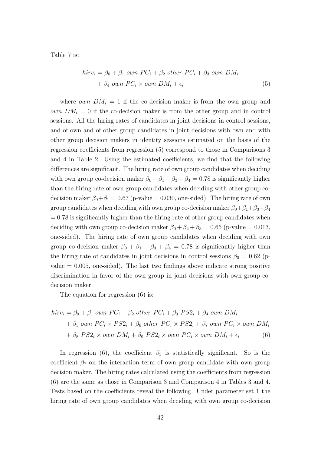Table 7 is:

$$
hirei = \beta_0 + \beta_1 \text{ own } PC_i + \beta_2 \text{ other } PC_i + \beta_3 \text{ own } DM_i
$$
  
+  $\beta_4 \text{ own } PC_i \times \text{ own } DM_i + \epsilon_i$  (5)

where *own*  $DM_i = 1$  if the co-decision maker is from the own group and *own*  $DM_i = 0$  if the co-decision maker is from the other group and in control sessions. All the hiring rates of candidates in joint decisions in control sessions, and of own and of other group candidates in joint decisions with own and with other group decision makers in identity sessions estimated on the basis of the regression coefficients from regression (5) correspond to those in Comparisons 3 and 4 in Table 2. Using the estimated coefficients, we find that the following differences are significant. The hiring rate of own group candidates when deciding with own group co-decision maker  $\beta_0 + \beta_1 + \beta_3 + \beta_4 = 0.78$  is significantly higher than the hiring rate of own group candidates when deciding with other group codecision maker  $\beta_0 + \beta_1 = 0.67$  (p-value = 0.030, one-sided). The hiring rate of own group candidates when deciding with own group co-decision maker  $\beta_0 + \beta_1 + \beta_3 + \beta_4$  $= 0.78$  is significantly higher than the hiring rate of other group candidates when deciding with own group co-decision maker  $\beta_0 + \beta_2 + \beta_3 = 0.66$  (p-value = 0.013, one-sided). The hiring rate of own group candidates when deciding with own group co-decision maker  $\beta_0 + \beta_1 + \beta_3 + \beta_4 = 0.78$  is significantly higher than the hiring rate of candidates in joint decisions in control sessions  $\beta_0 = 0.62$  (pvalue  $= 0.005$ , one-sided). The last two findings above indicate strong positive discrimination in favor of the own group in joint decisions with own group codecision maker.

The equation for regression (6) is:

$$
hire_i = \beta_0 + \beta_1 \text{ own } PC_i + \beta_2 \text{ other } PC_i + \beta_3 \text{ PS2}_i + \beta_4 \text{ own } DM_i
$$
  
+ 
$$
\beta_5 \text{ own } PC_i \times PS2_i + \beta_6 \text{ other } PC_i \times PS2_i + \beta_7 \text{ own } PC_i \times \text{own } DM_i
$$
  
+ 
$$
\beta_8 \text{ PS2}_i \times \text{own } DM_i + \beta_9 \text{ PS2}_i \times \text{own } PC_i \times \text{own } DM_i + \epsilon_i
$$
 (6)

In regression (6), the coefficient  $\beta_3$  is statistically significant. So is the coefficient  $\beta_7$  on the interaction term of own group candidate with own group decision maker. The hiring rates calculated using the coefficients from regression (6) are the same as those in Comparison 3 and Comparison 4 in Tables 3 and 4. Tests based on the coefficients reveal the following. Under parameter set 1 the hiring rate of own group candidates when deciding with own group co-decision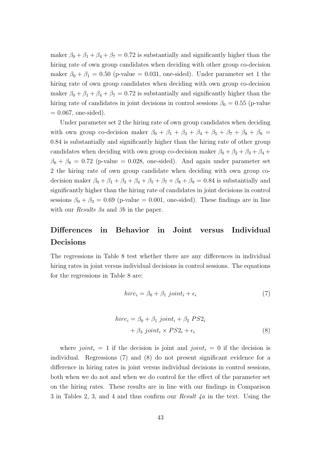maker  $\beta_0 + \beta_1 + \beta_4 + \beta_7 = 0.72$  is substantially and significantly higher than the hiring rate of own group candidates when deciding with other group co-decision maker  $\beta_0 + \beta_1 = 0.50$  (p-value = 0.031, one-sided). Under parameter set 1 the hiring rate of own group candidates when deciding with own group co-decision maker  $\beta_0 + \beta_1 + \beta_4 + \beta_7 = 0.72$  is substantially and significantly higher than the hiring rate of candidates in joint decisions in control sessions  $\beta_0 = 0.55$  (p-value  $= 0.067$ , one-sided).

Under parameter set 2 the hiring rate of own group candidates when deciding with own group co-decision maker  $\beta_0 + \beta_1 + \beta_3 + \beta_4 + \beta_5 + \beta_7 + \beta_8 + \beta_9 =$ 0.84 is substantially and significantly higher than the hiring rate of other group candidates when deciding with own group co-decision maker  $\beta_0 + \beta_2 + \beta_3 + \beta_4 +$  $\beta_6 + \beta_8 = 0.72$  (p-value = 0.028, one-sided). And again under parameter set 2 the hiring rate of own group candidate when deciding with own group codecision maker  $\beta_0 + \beta_1 + \beta_3 + \beta_4 + \beta_5 + \beta_7 + \beta_8 + \beta_9 = 0.84$  is substantially and significantly higher than the hiring rate of candidates in joint decisions in control sessions  $\beta_0 + \beta_3 = 0.69$  (p-value = 0.001, one-sided). These findings are in line with our *Results 3a* and 3b in the paper.

# Differences in Behavior in Joint versus Individual Decisions

The regressions in Table 8 test whether there are any differences in individual hiring rates in joint versus individual decisions in control sessions. The equations for the regressions in Table 8 are:

$$
hire_i = \beta_0 + \beta_1 \; joint_i + \epsilon_i \tag{7}
$$

$$
hirei = \beta_0 + \beta_1 \; joint_i + \beta_2 \; PS2_i
$$

$$
+ \beta_3 \; joint_i \times PS2_i + \epsilon_i
$$
 (8)

where joint<sub>i</sub> = 1 if the decision is joint and joint<sub>i</sub> = 0 if the decision is individual. Regressions (7) and (8) do not present significant evidence for a difference in hiring rates in joint versus individual decisions in control sessions, both when we do not and when we do control for the effect of the parameter set on the hiring rates. These results are in line with our findings in Comparison 3 in Tables 2, 3, and 4 and thus confirm our Result 4a in the text. Using the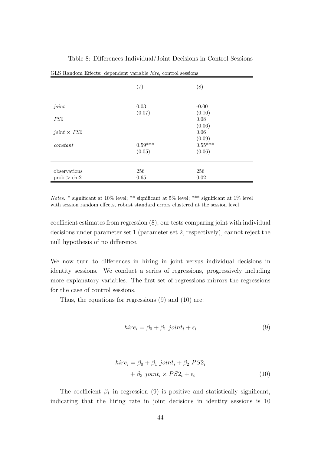|                    | GLS Random Effects: dependent variable hire, control sessions |                     |  |
|--------------------|---------------------------------------------------------------|---------------------|--|
|                    | (7)                                                           | (8)                 |  |
| joint              | 0.03                                                          | $-0.00$             |  |
| PS2                | (0.07)                                                        | (0.10)<br>0.08      |  |
| $joint \times PS2$ |                                                               | (0.06)<br>0.06      |  |
| constant           | $0.59***$                                                     | (0.09)<br>$0.55***$ |  |
|                    | (0.05)                                                        | (0.06)              |  |
| observations       | 256                                                           | 256                 |  |
| prob > chi2        | 0.65                                                          | 0.02                |  |

Table 8: Differences Individual/Joint Decisions in Control Sessions

Notes. \* significant at 10% level; \*\* significant at 5% level; \*\*\* significant at 1% level with session random effects, robust standard errors clustered at the session level

coefficient estimates from regression (8), our tests comparing joint with individual decisions under parameter set 1 (parameter set 2, respectively), cannot reject the null hypothesis of no difference.

We now turn to differences in hiring in joint versus individual decisions in identity sessions. We conduct a series of regressions, progressively including more explanatory variables. The first set of regressions mirrors the regressions for the case of control sessions.

Thus, the equations for regressions (9) and (10) are:

$$
hire_i = \beta_0 + \beta_1 \; joint_i + \epsilon_i \tag{9}
$$

$$
hirei = \beta_0 + \beta_1 \; joint_i + \beta_2 \; PS2_i
$$

$$
+ \beta_3 \; joint_i \times PS2_i + \epsilon_i
$$
 (10)

The coefficient  $\beta_1$  in regression (9) is positive and statistically significant, indicating that the hiring rate in joint decisions in identity sessions is 10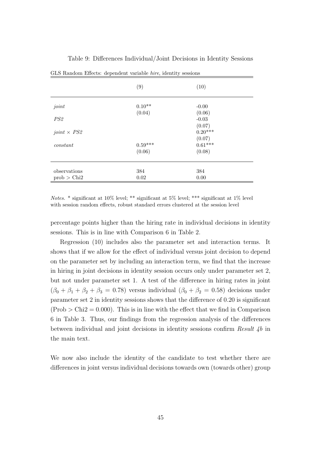|                    | GLS Random Effects: dependent variable <i>hire</i> , identity sessions |                     |  |
|--------------------|------------------------------------------------------------------------|---------------------|--|
|                    | (9)                                                                    | (10)                |  |
| joint              | $0.10**$                                                               | $-0.00$             |  |
| PS2                | (0.04)                                                                 | (0.06)<br>$-0.03$   |  |
| joint $\times$ PS2 |                                                                        | (0.07)<br>$0.20***$ |  |
| constant           | $0.59***$                                                              | (0.07)<br>$0.61***$ |  |
|                    | (0.06)                                                                 | (0.08)              |  |
| observations       | 384                                                                    | 384                 |  |
| prob > Chi2        | 0.02                                                                   | 0.00                |  |

Table 9: Differences Individual/Joint Decisions in Identity Sessions

Notes. \* significant at 10% level; \*\* significant at 5% level; \*\*\* significant at 1% level with session random effects, robust standard errors clustered at the session level

percentage points higher than the hiring rate in individual decisions in identity sessions. This is in line with Comparison 6 in Table 2.

Regression (10) includes also the parameter set and interaction terms. It shows that if we allow for the effect of individual versus joint decision to depend on the parameter set by including an interaction term, we find that the increase in hiring in joint decisions in identity session occurs only under parameter set 2, but not under parameter set 1. A test of the difference in hiring rates in joint  $(\beta_0 + \beta_1 + \beta_2 + \beta_3 = 0.78)$  versus individual  $(\beta_0 + \beta_2 = 0.58)$  decisions under parameter set 2 in identity sessions shows that the difference of 0.20 is significant  $(Prob > Chi2 = 0.000)$ . This is in line with the effect that we find in Comparison 6 in Table 3. Thus, our findings from the regression analysis of the differences between individual and joint decisions in identity sessions confirm  $Result 4b$  in the main text.

We now also include the identity of the candidate to test whether there are differences in joint versus individual decisions towards own (towards other) group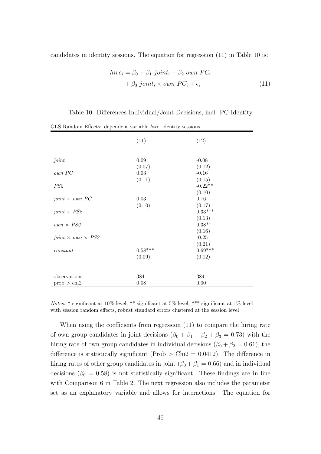candidates in identity sessions. The equation for regression (11) in Table 10 is:

$$
hirei = \beta_0 + \beta_1 \text{ joint}_i + \beta_2 \text{ own } PC_i
$$
  
+  $\beta_3 \text{ joint}_i \times \text{ own } PC_i + \epsilon_i$  (11)

Table 10: Differences Individual/Joint Decisions, incl. PC Identity

|                                 | (11)       | (12)      |
|---------------------------------|------------|-----------|
| joint                           | $0.09\,$   | $-0.08$   |
|                                 | (0.07)     | (0.12)    |
| own PC                          | $\,0.03\,$ | $-0.16$   |
|                                 | (0.11)     | (0.15)    |
| PS2                             |            | $-0.22**$ |
|                                 |            | (0.10)    |
| joint $\times$ own PC           | $\,0.03\,$ | 0.16      |
|                                 | (0.10)     | (0.17)    |
| joint $\times$ PS2              |            | $0.33***$ |
|                                 |            | (0.13)    |
| $own \times PS2$                |            | $0.38**$  |
|                                 |            | (0.16)    |
| joint $\times$ own $\times$ PS2 |            | $-0.25$   |
|                                 |            | (0.21)    |
| constant                        | $0.58***$  | $0.69***$ |
|                                 | (0.09)     | (0.12)    |
|                                 |            |           |
|                                 |            |           |
| observations                    | 384        | 384       |
| prob > chi2                     | 0.08       | $0.00\,$  |

GLS Random Effects: dependent variable hire, identity sessions

Notes. \* significant at 10% level; \*\* significant at 5% level; \*\*\* significant at 1% level with session random effects, robust standard errors clustered at the session level

When using the coefficients from regression (11) to compare the hiring rate of own group candidates in joint decisions  $(\beta_0 + \beta_1 + \beta_2 + \beta_3 = 0.73)$  with the hiring rate of own group candidates in individual decisions ( $\beta_0 + \beta_2 = 0.61$ ), the difference is statistically significant (Prob  $>$  Chi2 = 0.0412). The difference in hiring rates of other group candidates in joint ( $\beta_0 + \beta_1 = 0.66$ ) and in individual decisions ( $\beta_0 = 0.58$ ) is not statistically significant. These findings are in line with Comparison 6 in Table 2. The next regression also includes the parameter set as an explanatory variable and allows for interactions. The equation for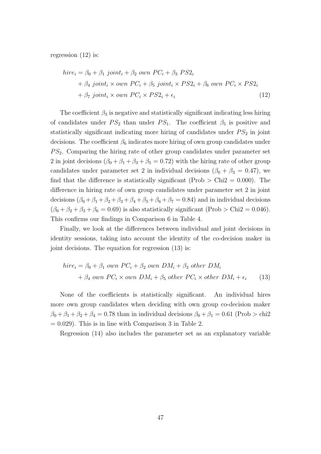regression (12) is:

$$
hire_i = \beta_0 + \beta_1 \text{ joint}_i + \beta_2 \text{ own } PC_i + \beta_3 \text{ PS2}_i
$$
  
+ 
$$
\beta_4 \text{ joint}_i \times \text{own } PC_i + \beta_5 \text{ joint}_i \times \text{PS2}_i + \beta_6 \text{ own } PC_i \times \text{PS2}_i
$$
  
+ 
$$
\beta_7 \text{ joint}_i \times \text{own } PC_i \times \text{PS2}_i + \epsilon_i
$$
 (12)

The coefficient  $\beta_3$  is negative and statistically significant indicating less hiring of candidates under  $PS_2$  than under  $PS_1$ . The coefficient  $\beta_5$  is positive and statistically significant indicating more hiring of candidates under  $PS_2$  in joint decisions. The coefficient  $\beta_6$  indicates more hiring of own group candidates under  $PS<sub>2</sub>$ . Comparing the hiring rate of other group candidates under parameter set 2 in joint decisions  $(\beta_0 + \beta_1 + \beta_3 + \beta_5 = 0.72)$  with the hiring rate of other group candidates under parameter set 2 in individual decisions ( $\beta_0 + \beta_3 = 0.47$ ), we find that the difference is statistically significant (Prob  $>$  Chi2 = 0.000). The difference in hiring rate of own group candidates under parameter set 2 in joint decisions  $(\beta_0 + \beta_1 + \beta_2 + \beta_3 + \beta_4 + \beta_5 + \beta_6 + \beta_7 = 0.84)$  and in individual decisions  $(\beta_0 + \beta_2 + \beta_3 + \beta_6 = 0.69)$  is also statistically significant (Prob > Chi2 = 0.046). This confirms our findings in Comparison 6 in Table 4.

Finally, we look at the differences between individual and joint decisions in identity sessions, taking into account the identity of the co-decision maker in joint decisions. The equation for regression (13) is:

$$
hire_i = \beta_0 + \beta_1 \text{ own } PC_i + \beta_2 \text{ own } DM_i + \beta_3 \text{ other } DM_i
$$

$$
+ \beta_4 \text{ own } PC_i \times \text{own } DM_i + \beta_5 \text{ other } PC_i \times \text{other } DM_i + \epsilon_i \qquad (13)
$$

None of the coefficients is statistically significant. An individual hires more own group candidates when deciding with own group co-decision maker  $\beta_0 + \beta_1 + \beta_2 + \beta_4 = 0.78$  than in individual decisions  $\beta_0 + \beta_1 = 0.61$  (Prob  $>$  chi2  $= 0.029$ . This is in line with Comparison 3 in Table 2.

Regression (14) also includes the parameter set as an explanatory variable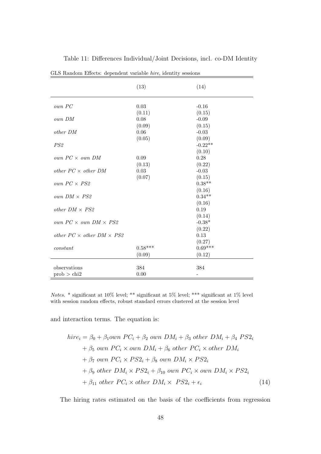| GLS Random Effects: dependent variable hire, identity sessions |                |                    |  |
|----------------------------------------------------------------|----------------|--------------------|--|
|                                                                | (13)           | (14)               |  |
| own PC                                                         | 0.03           | $-0.16$            |  |
| own DM                                                         | (0.11)<br>0.08 | (0.15)<br>$-0.09$  |  |
|                                                                | (0.09)         | (0.15)             |  |
| $other\ DM$                                                    | 0.06           | $-0.03$            |  |
|                                                                | (0.05)         | (0.09)             |  |
| PS <sub>2</sub>                                                |                | $-0.22**$          |  |
|                                                                |                | (0.10)             |  |
| own $PC \times$ own DM                                         | 0.09           | 0.28               |  |
|                                                                | (0.13)         | (0.22)             |  |
| other $PC \times$ other DM                                     | $0.03\,$       | $-0.03$            |  |
|                                                                | (0.07)         | (0.15)<br>$0.38**$ |  |
| own $PC \times PS2$                                            |                | (0.16)             |  |
| own $DM \times PS2$                                            |                | $0.34**$           |  |
|                                                                |                | (0.16)             |  |
| other $DM \times PS2$                                          |                | 0.19               |  |
|                                                                |                | (0.14)             |  |
| own $PC \times$ own $DM \times PS2$                            |                | $-0.38*$           |  |
|                                                                |                | (0.22)             |  |
| other $PC \times$ other $DM \times PS2$                        |                | 0.13               |  |
|                                                                |                | (0.27)             |  |
| constant                                                       | $0.58***$      | $0.69***$          |  |
|                                                                | (0.09)         | (0.12)             |  |
| observations                                                   | 384            | 384                |  |
| prob > chi2                                                    | 0.00           |                    |  |
|                                                                |                |                    |  |

Table 11: Differences Individual/Joint Decisions, incl. co-DM Identity

Notes. \* significant at 10% level; \*\* significant at 5% level; \*\*\* significant at 1% level with session random effects, robust standard errors clustered at the session level

and interaction terms. The equation is:

$$
hire_i = \beta_0 + \beta_1 own \ PC_i + \beta_2 \ own \ DM_i + \beta_3 \ other \ DM_i + \beta_4 \ PS2_i
$$
  
+  $\beta_5 \ own \ PC_i \times own \ DM_i + \beta_6 \ other \ PC_i \times other \ DM_i$   
+  $\beta_7 \ own \ PC_i \times PS2_i + \beta_8 \ own \ DM_i \times PS2_i$   
+  $\beta_9 \ other \ DM_i \times PS2_i + \beta_{10} \ own \ PC_i \times own \ DM_i \times PS2_i$   
+  $\beta_{11} \ other \ PC_i \times other \ DM_i \times PS2_i + \epsilon_i$  (14)

The hiring rates estimated on the basis of the coefficients from regression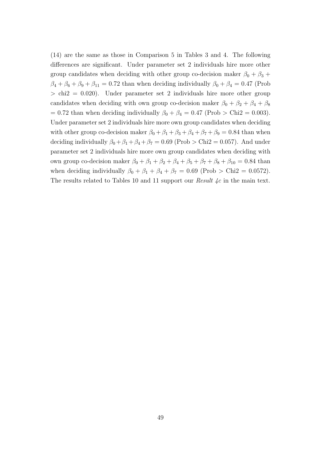(14) are the same as those in Comparison 5 in Tables 3 and 4. The following differences are significant. Under parameter set 2 individuals hire more other group candidates when deciding with other group co-decision maker  $\beta_0 + \beta_3 +$  $\beta_4 + \beta_6 + \beta_9 + \beta_{11} = 0.72$  than when deciding individually  $\beta_0 + \beta_4 = 0.47$  (Prob  $>$  chi2 = 0.020). Under parameter set 2 individuals hire more other group candidates when deciding with own group co-decision maker  $\beta_0 + \beta_2 + \beta_4 + \beta_8$ = 0.72 than when deciding individually  $\beta_0 + \beta_4 = 0.47$  (Prob > Chi2 = 0.003). Under parameter set 2 individuals hire more own group candidates when deciding with other group co-decision maker  $\beta_0 + \beta_1 + \beta_3 + \beta_4 + \beta_7 + \beta_9 = 0.84$  than when deciding individually  $\beta_0 + \beta_1 + \beta_4 + \beta_7 = 0.69$  (Prob > Chi2 = 0.057). And under parameter set 2 individuals hire more own group candidates when deciding with own group co-decision maker  $\beta_0 + \beta_1 + \beta_2 + \beta_4 + \beta_5 + \beta_7 + \beta_8 + \beta_{10} = 0.84$  than when deciding individually  $\beta_0 + \beta_1 + \beta_4 + \beta_7 = 0.69$  (Prob > Chi2 = 0.0572). The results related to Tables 10 and 11 support our *Result 4c* in the main text.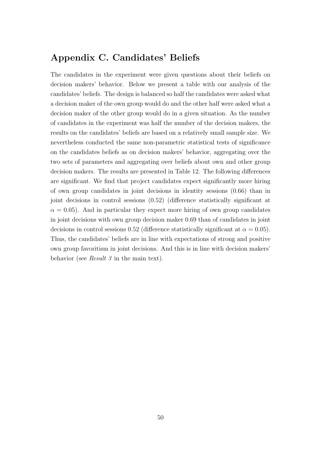# Appendix C. Candidates' Beliefs

The candidates in the experiment were given questions about their beliefs on decision makers' behavior. Below we present a table with our analysis of the candidates' beliefs. The design is balanced so half the candidates were asked what a decision maker of the own group would do and the other half were asked what a decision maker of the other group would do in a given situation. As the number of candidates in the experiment was half the number of the decision makers, the results on the candidates' beliefs are based on a relatively small sample size. We nevertheless conducted the same non-parametric statistical tests of significance on the candidates beliefs as on decision makers' behavior, aggregating over the two sets of parameters and aggregating over beliefs about own and other group decision makers. The results are presented in Table 12. The following differences are significant. We find that project candidates expect significantly more hiring of own group candidates in joint decisions in identity sessions (0.66) than in joint decisions in control sessions (0.52) (difference statistically significant at  $\alpha = 0.05$ . And in particular they expect more hiring of own group candidates in joint decisions with own group decision maker 0.69 than of candidates in joint decisions in control sessions 0.52 (difference statistically significant at  $\alpha = 0.05$ ). Thus, the candidates' beliefs are in line with expectations of strong and positive own group favoritism in joint decisions. And this is in line with decision makers' behavior (see *Result 3* in the main text).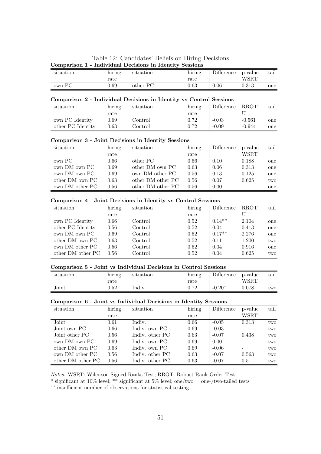Table 12: Candidates' Beliefs on Hiring Decisions Comparison 1 - Individual Decisions in Identity Sessions

| situation | $\cdot$ $\cdot$<br>hiring | situation | $\cdot$ $\cdot$<br>hiring | Difference | p-value<br>WSRT | tail |
|-----------|---------------------------|-----------|---------------------------|------------|-----------------|------|
| own PC    | rate<br>).69              | other PC  | rate<br>0.63              | $0.06\,$   | $\rm 0.313$     | one  |

#### Comparison 2 - Individual Decisions in Identity vs Control Sessions

| situation         | hiring     | situation                | hiring   | Difference | <b>RROT</b> | $\text{tail}$ |
|-------------------|------------|--------------------------|----------|------------|-------------|---------------|
|                   | rate       |                          | rate     |            |             |               |
| own PC Identity   | 0.69       | $\rm Control$            | 0.72     | $-0.03$    | $-0.561$    | one           |
| other PC Identity | $\rm 0.63$ | $\operatorname{Control}$ | $0.72\,$ | $-0.09$    | $-0.944$    | one           |

#### Comparison 3 - Joint Decisions in Identity Sessions

| situation       | hiring | situation         | hiring | Difference | p-value | tail |
|-----------------|--------|-------------------|--------|------------|---------|------|
|                 | rate   |                   | rate   |            | WSRT    |      |
| own PC          | 0.66   | other PC          | 0.56   | 0.10       | 0.188   | one  |
| own DM own PC   | 0.69   | other DM own PC   | 0.63   | 0.06       | 0.313   | one  |
| own DM own PC   | 0.69   | own DM other PC   | 0.56   | 0.13       | 0.125   | one  |
| other DM own PC | 0.63   | other DM other PC | 0.56   | 0.07       | 0.625   | two  |
| own DM other PC | 0.56   | other DM other PC | 0.56   | 0.00       |         | one  |

## Comparison 4 - Joint Decisions in Identity vs Control Sessions

| situation         | hiring | situation | hiring | Difference | <b>RROT</b> | tail |
|-------------------|--------|-----------|--------|------------|-------------|------|
|                   | rate   |           | rate   |            |             |      |
| own PC Identity   | 0.66   | Control   | 0.52   | $0.14**$   | 2.104       | one  |
| other PC Identity | 0.56   | Control   | 0.52   | 0.04       | 0.413       | one  |
| own DM own PC     | 0.69   | Control   | 0.52   | $0.17**$   | 2.276       | one  |
| other DM own PC   | 0.63   | Control   | 0.52   | 0.11       | 1.200       | two  |
| own DM other PC   | 0.56   | Control   | 0.52   | 0.04       | 0.916       | one  |
| other DM other PC | 0.56   | Control   | 0.52   | 0.04       | 0.625       | two  |

#### Comparison 5 - Joint vs Individual Decisions in Control Sessions

| $\cdot$ .<br>situation | .<br>hırıng | situation | $\cdot$ .<br>hiring | <b>Difference</b> | p-value   | taıl |
|------------------------|-------------|-----------|---------------------|-------------------|-----------|------|
|                        | rate        |           | rate                |                   | WSRT      |      |
| Joint                  | $0.52\,$    | Indiv.    | רידי ה              | ി∩∗<br>- 1        | $0.078\,$ | two  |

#### Comparison 6 - Joint vs Individual Decisions in Identity Sessions

| situation         | hiring | situation       | hiring | Difference | p-value | tail |
|-------------------|--------|-----------------|--------|------------|---------|------|
|                   | rate   |                 | rate   |            | WSRT    |      |
| Joint             | 0.61   | Indiv.          | 0.66   | $-0.05$    | 0.313   | two  |
| Joint own PC      | 0.66   | Indiv. own PC   | 0.69   | $-0.03$    | -       | two  |
| Joint other PC    | 0.56   | Indiv. other PC | 0.63   | $-0.07$    | 0.438   | two  |
| own DM own PC     | 0.69   | Indiv. own PC   | 0.69   | 0.00       |         | two  |
| other DM own PC   | 0.63   | Indiv. own PC   | 0.69   | $-0.06$    |         | two  |
| own DM other PC   | 0.56   | Indiv. other PC | 0.63   | $-0.07$    | 0.563   | two  |
| other DM other PC | 0.56   | Indiv. other PC | 0.63   | $-0.07$    | 0.5     | two  |

Notes. WSRT: Wilcoxon Signed Ranks Test; RROT: Robust Rank Order Test;

\* significant at 10% level; \*\* significant at 5% level; one/two = one-/two-tailed tests

'-' insufficient number of observations for statistical testing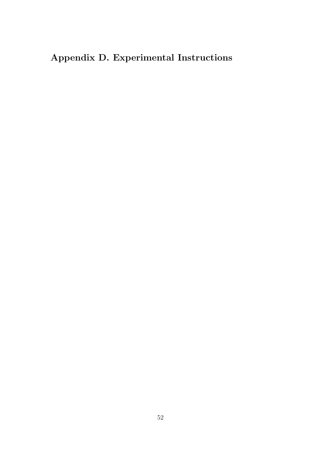# Appendix D. Experimental Instructions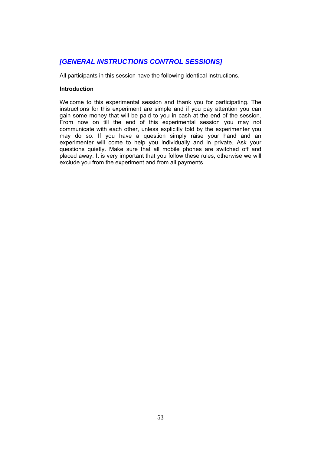# *[GENERAL INSTRUCTIONS CONTROL SESSIONS]*

All participants in this session have the following identical instructions.

## **Introduction**

Welcome to this experimental session and thank you for participating. The instructions for this experiment are simple and if you pay attention you can gain some money that will be paid to you in cash at the end of the session. From now on till the end of this experimental session you may not communicate with each other, unless explicitly told by the experimenter you may do so. If you have a question simply raise your hand and an experimenter will come to help you individually and in private. Ask your questions quietly. Make sure that all mobile phones are switched off and placed away. It is very important that you follow these rules, otherwise we will exclude you from the experiment and from all payments.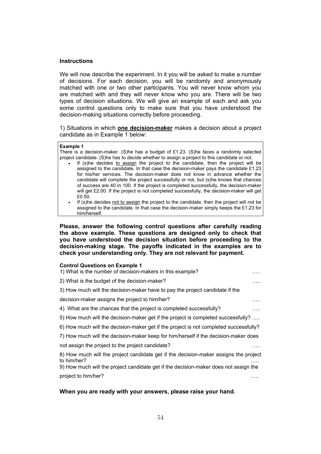## **Instructions**

We will now describe the experiment. In it you will be asked to make a number of decisions. For each decision, you will be randomly and anonymously matched with one or two other participants. You will never know whom you are matched with and they will never know who you are. There will be two types of decision situations. We will give an example of each and ask you some control questions only to make sure that you have understood the decision-making situations correctly before proceeding.

1) Situations in which **one decision-maker** makes a decision about a project candidate as in Example 1 below:

#### **Example 1**  There is a decision-maker. (S)he has a budget of £1.23. (S)he faces a randomly selected project candidate. (S)he has to decide whether to assign a project to this candidate or not. If (s)he decides to assign the project to the candidate, then the project will be

- assigned to the candidate. In that case the decision-maker pays the candidate £1.23 for his/her services. The decision-maker does not know in advance whether the candidate will complete the project successfully or not, but (s)he knows that chances of success are 40 in 100. If the project is completed successfully, the decision-maker will get £2.00. If the project is not completed successfully, the decision-maker will get £0.50.
- If (s)he decides not to assign the project to the candidate, then the project will not be assigned to the candidate. In that case the decision-maker simply keeps the £1.23 for him/herself.

**Please, answer the following control questions after carefully reading the above example. These questions are designed only to check that you have understood the decision situation before proceeding to the decision-making stage. The payoffs indicated in the examples are to check your understanding only. They are not relevant for payment.** 

#### **Control Questions on Example 1**

| 1) What is the number of decision-makers in this example?                                           | . |
|-----------------------------------------------------------------------------------------------------|---|
| 2) What is the budget of the decision-maker?                                                        | . |
| 3) How much will the decision-maker have to pay the project candidate if the                        |   |
| decision-maker assigns the project to him/her?                                                      | . |
| 4) What are the chances that the project is completed successfully?                                 | . |
| 5) How much will the decision-maker get if the project is completed successfully?                   |   |
| 6) How much will the decision-maker get if the project is not completed successfully?               |   |
| 7) How much will the decision-maker keep for him/herself if the decision-maker does                 |   |
| not assign the project to the project candidate?                                                    | . |
| 8) How much will the project candidate get if the decision-maker assigns the project<br>to him/her? | . |
| 9) How much will the project candidate get if the decision-maker does not assign the                |   |
| project to him/her?                                                                                 |   |
|                                                                                                     |   |

# **When you are ready with your answers, please raise your hand.**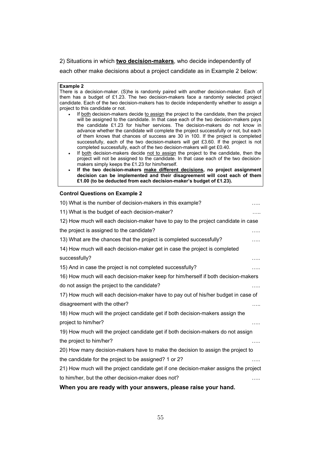2) Situations in which **two decision-makers**, who decide independently of

each other make decisions about a project candidate as in Example 2 below:

#### **Example 2**

There is a decision-maker. (S)he is randomly paired with another decision-maker. Each of them has a budget of £1.23. The two decision-makers face a randomly selected project candidate. Each of the two decision-makers has to decide independently whether to assign a project to this candidate or not.

- If both decision-makers decide to assign the project to the candidate, then the project will be assigned to the candidate. In that case each of the two decision-makers pays the candidate £1.23 for his/her services. The decision-makers do not know in advance whether the candidate will complete the project successfully or not, but each of them knows that chances of success are 30 in 100. If the project is completed successfully, each of the two decision-makers will get £3.60. If the project is not completed successfully, each of the two decision-makers will get £0.40.
- If both decision-makers decide not to assign the project to the candidate, then the project will not be assigned to the candidate. In that case each of the two decisionmakers simply keeps the £1.23 for him/herself.
- **If the two decision-makers make different decisions, no project assignment decision can be implemented and their disagreement will cost each of them £1.00 (to be deducted from each decision-maker's budget of £1.23).**

#### **Control Questions on Example 2**

| 10) What is the number of decision-makers in this example?                                     | . |
|------------------------------------------------------------------------------------------------|---|
| 11) What is the budget of each decision-maker?                                                 | . |
| 12) How much will each decision-maker have to pay to the project candidate in case             |   |
| the project is assigned to the candidate?                                                      | . |
| 13) What are the chances that the project is completed successfully?                           |   |
| 14) How much will each decision-maker get in case the project is completed                     |   |
| successfully?                                                                                  |   |
| 15) And in case the project is not completed successfully?                                     | . |
| 16) How much will each decision-maker keep for him/herself if both decision-makers             |   |
| do not assign the project to the candidate?                                                    |   |
| 17) How much will each decision-maker have to pay out of his/her budget in case of             |   |
| disagreement with the other?                                                                   | . |
| 18) How much will the project candidate get if both decision-makers assign the                 |   |
| project to him/her?                                                                            | . |
| 19) How much will the project candidate get if both decision-makers do not assign              |   |
| the project to him/her?                                                                        |   |
| 20) How many decision-makers have to make the decision to assign the project to                |   |
| the candidate for the project to be assigned? 1 or 2?                                          | . |
| 21) How much will the project candidate get if one decision-maker assigns the project          |   |
| to him/her, but the other decision-maker does not?                                             |   |
| والمستحدث والمقارب والماري والمناصبات<br><b><i>MIL.</i></b><br>المتحامين والمستحدث والمتحاربين |   |

# **When you are ready with your answers, please raise your hand.**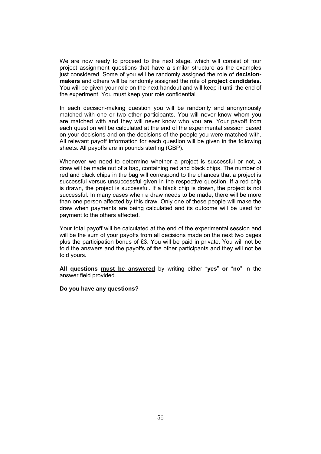We are now ready to proceed to the next stage, which will consist of four project assignment questions that have a similar structure as the examples just considered. Some of you will be randomly assigned the role of **decisionmakers** and others will be randomly assigned the role of **project candidates**. You will be given your role on the next handout and will keep it until the end of the experiment. You must keep your role confidential.

In each decision-making question you will be randomly and anonymously matched with one or two other participants. You will never know whom you are matched with and they will never know who you are. Your payoff from each question will be calculated at the end of the experimental session based on your decisions and on the decisions of the people you were matched with. All relevant payoff information for each question will be given in the following sheets. All payoffs are in pounds sterling (GBP).

Whenever we need to determine whether a project is successful or not, a draw will be made out of a bag, containing red and black chips. The number of red and black chips in the bag will correspond to the chances that a project is successful versus unsuccessful given in the respective question. If a red chip is drawn, the project is successful. If a black chip is drawn, the project is not successful. In many cases when a draw needs to be made, there will be more than one person affected by this draw. Only one of these people will make the draw when payments are being calculated and its outcome will be used for payment to the others affected.

Your total payoff will be calculated at the end of the experimental session and will be the sum of your payoffs from all decisions made on the next two pages plus the participation bonus of £3. You will be paid in private. You will not be told the answers and the payoffs of the other participants and they will not be told yours.

**All questions must be answered** by writing either "**yes**" **or** "**no**" in the answer field provided.

#### **Do you have any questions?**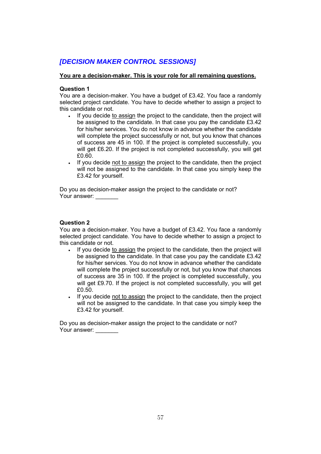# *[DECISION MAKER CONTROL SESSIONS]*

# **You are a decision-maker. This is your role for all remaining questions.**

# **Question 1**

You are a decision-maker. You have a budget of £3.42. You face a randomly selected project candidate. You have to decide whether to assign a project to this candidate or not.

- If you decide to assign the project to the candidate, then the project will be assigned to the candidate. In that case you pay the candidate £3.42 for his/her services. You do not know in advance whether the candidate will complete the project successfully or not, but you know that chances of success are 45 in 100. If the project is completed successfully, you will get £6.20. If the project is not completed successfully, you will get £0.60.
- If you decide not to assign the project to the candidate, then the project will not be assigned to the candidate. In that case you simply keep the £3.42 for yourself.

Do you as decision-maker assign the project to the candidate or not? Your answer:

# **Question 2**

You are a decision-maker. You have a budget of £3.42. You face a randomly selected project candidate. You have to decide whether to assign a project to this candidate or not.

- If you decide to assign the project to the candidate, then the project will be assigned to the candidate. In that case you pay the candidate £3.42 for his/her services. You do not know in advance whether the candidate will complete the project successfully or not, but you know that chances of success are 35 in 100. If the project is completed successfully, you will get £9.70. If the project is not completed successfully, you will get £0.50.
- If you decide not to assign the project to the candidate, then the project will not be assigned to the candidate. In that case you simply keep the £3.42 for yourself.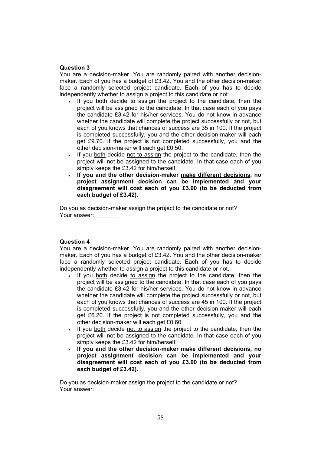# **Question 3**

You are a decision-maker. You are randomly paired with another decisionmaker. Each of you has a budget of £3.42. You and the other decision-maker face a randomly selected project candidate. Each of you has to decide independently whether to assign a project to this candidate or not.

- If you both decide to assign the project to the candidate, then the project will be assigned to the candidate. In that case each of you pays the candidate £3.42 for his/her services. You do not know in advance whether the candidate will complete the project successfully or not, but each of you knows that chances of success are 35 in 100. If the project is completed successfully, you and the other decision-maker will each get £9.70. If the project is not completed successfully, you and the other decision-maker will each get £0.50.
- If you both decide not to assign the project to the candidate, then the project will not be assigned to the candidate. In that case each of you simply keeps the £3.42 for him/herself.
- **If you and the other decision-maker make different decisions, no project assignment decision can be implemented and your disagreement will cost each of you £3.00 (to be deducted from each budget of £3.42).**

Do you as decision-maker assign the project to the candidate or not? Your answer:

# **Question 4**

You are a decision-maker. You are randomly paired with another decisionmaker. Each of you has a budget of £3.42. You and the other decision-maker face a randomly selected project candidate. Each of you has to decide independently whether to assign a project to this candidate or not.

- If you both decide to assign the project to the candidate, then the project will be assigned to the candidate. In that case each of you pays the candidate £3.42 for his/her services. You do not know in advance whether the candidate will complete the project successfully or not, but each of you knows that chances of success are 45 in 100. If the project is completed successfully, you and the other decision-maker will each get £6.20. If the project is not completed successfully, you and the other decision-maker will each get £0.60.
- If you both decide not to assign the project to the candidate, then the project will not be assigned to the candidate. In that case each of you simply keeps the £3.42 for him/herself.
- **If you and the other decision-maker make different decisions, no project assignment decision can be implemented and your disagreement will cost each of you £3.00 (to be deducted from each budget of £3.42).**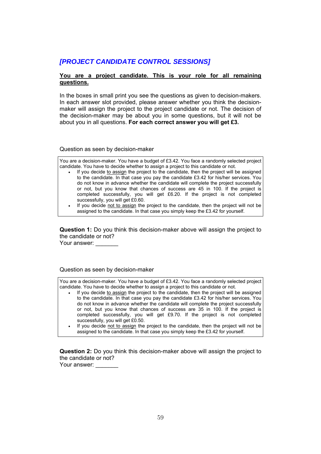# *[PROJECT CANDIDATE CONTROL SESSIONS]*

## **You are a project candidate. This is your role for all remaining questions.**

In the boxes in small print you see the questions as given to decision-makers. In each answer slot provided, please answer whether you think the decisionmaker will assign the project to the project candidate or not. The decision of the decision-maker may be about you in some questions, but it will not be about you in all questions. **For each correct answer you will get £3.** 

Question as seen by decision-maker

You are a decision-maker. You have a budget of £3.42. You face a randomly selected project candidate. You have to decide whether to assign a project to this candidate or not.

- If you decide to assign the project to the candidate, then the project will be assigned to the candidate. In that case you pay the candidate £3.42 for his/her services. You do not know in advance whether the candidate will complete the project successfully or not, but you know that chances of success are 45 in 100. If the project is completed successfully, you will get £6.20. If the project is not completed successfully, you will get £0.60.
	- If you decide not to assign the project to the candidate, then the project will not be assigned to the candidate. In that case you simply keep the £3.42 for yourself.

**Question 1:** Do you think this decision-maker above will assign the project to the candidate or not?

Your answer:

Question as seen by decision-maker

You are a decision-maker. You have a budget of £3.42. You face a randomly selected project candidate. You have to decide whether to assign a project to this candidate or not.

- If you decide to assign the project to the candidate, then the project will be assigned to the candidate. In that case you pay the candidate £3.42 for his/her services. You do not know in advance whether the candidate will complete the project successfully or not, but you know that chances of success are 35 in 100. If the project is completed successfully, you will get £9.70. If the project is not completed successfully, you will get £0.50.
- If you decide not to assign the project to the candidate, then the project will not be assigned to the candidate. In that case you simply keep the £3.42 for yourself.

**Question 2:** Do you think this decision-maker above will assign the project to the candidate or not?

Your answer: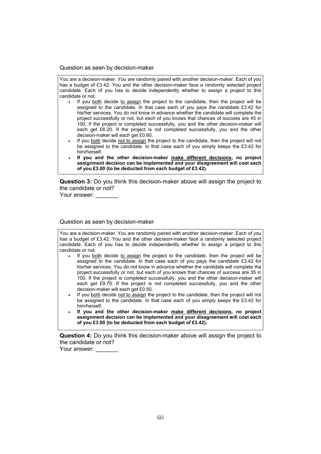#### Question as seen by decision-maker

You are a decision-maker. You are randomly paired with another decision-maker. Each of you has a budget of £3.42. You and the other decision-maker face a randomly selected project candidate. Each of you has to decide independently whether to assign a project to this candidate or not.

- If you both decide to assign the project to the candidate, then the project will be assigned to the candidate. In that case each of you pays the candidate £3.42 for his/her services. You do not know in advance whether the candidate will complete the project successfully or not, but each of you knows that chances of success are 45 in 100. If the project is completed successfully, you and the other decision-maker will each get £6.20. If the project is not completed successfully, you and the other decision-maker will each get £0.60.
- If you both decide not to assign the project to the candidate, then the project will not be assigned to the candidate. In that case each of you simply keeps the £3.42 for him/herself.
- **If you and the other decision-maker make different decisions, no project assignment decision can be implemented and your disagreement will cost each of you £3.00 (to be deducted from each budget of £3.42).**

**Question 3:** Do you think this decision-maker above will assign the project to the candidate or not?

Your answer:

Question as seen by decision-maker

You are a decision-maker. You are randomly paired with another decision-maker. Each of you has a budget of £3.42. You and the other decision-maker face a randomly selected project candidate. Each of you has to decide independently whether to assign a project to this candidate or not.

- If you both decide to assign the project to the candidate, then the project will be assigned to the candidate. In that case each of you pays the candidate £3.42 for his/her services. You do not know in advance whether the candidate will complete the project successfully or not, but each of you knows that chances of success are 35 in 100. If the project is completed successfully, you and the other decision-maker will each get £9.70. If the project is not completed successfully, you and the other decision-maker will each get £0.50.
- If you both decide not to assign the project to the candidate, then the project will not be assigned to the candidate. In that case each of you simply keeps the £3.42 for him/herself.
- **If you and the other decision-maker make different decisions, no project assignment decision can be implemented and your disagreement will cost each of you £3.00 (to be deducted from each budget of £3.42).**

**Question 4:** Do you think this decision-maker above will assign the project to the candidate or not?

Your answer: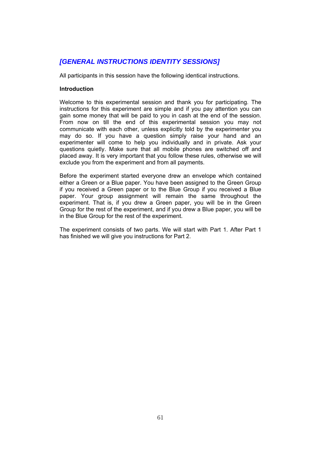# *[GENERAL INSTRUCTIONS IDENTITY SESSIONS]*

All participants in this session have the following identical instructions.

# **Introduction**

Welcome to this experimental session and thank you for participating. The instructions for this experiment are simple and if you pay attention you can gain some money that will be paid to you in cash at the end of the session. From now on till the end of this experimental session you may not communicate with each other, unless explicitly told by the experimenter you may do so. If you have a question simply raise your hand and an experimenter will come to help you individually and in private. Ask your questions quietly. Make sure that all mobile phones are switched off and placed away. It is very important that you follow these rules, otherwise we will exclude you from the experiment and from all payments.

Before the experiment started everyone drew an envelope which contained either a Green or a Blue paper. You have been assigned to the Green Group if you received a Green paper or to the Blue Group if you received a Blue paper. Your group assignment will remain the same throughout the experiment. That is, if you drew a Green paper, you will be in the Green Group for the rest of the experiment, and if you drew a Blue paper, you will be in the Blue Group for the rest of the experiment.

The experiment consists of two parts. We will start with Part 1. After Part 1 has finished we will give you instructions for Part 2.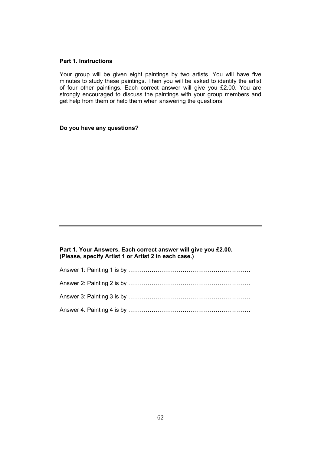## **Part 1. Instructions**

Your group will be given eight paintings by two artists. You will have five minutes to study these paintings. Then you will be asked to identify the artist of four other paintings. Each correct answer will give you £2.00. You are strongly encouraged to discuss the paintings with your group members and get help from them or help them when answering the questions.

**Do you have any questions?** 

## **Part 1. Your Answers. Each correct answer will give you £2.00. (Please, specify Artist 1 or Artist 2 in each case.)**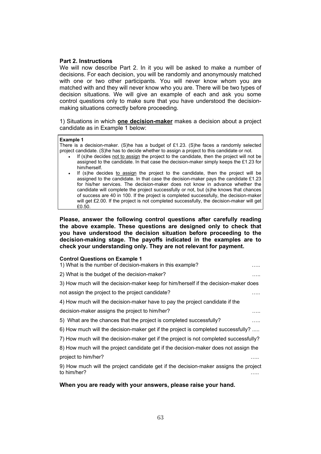## **Part 2. Instructions**

We will now describe Part 2. In it you will be asked to make a number of decisions. For each decision, you will be randomly and anonymously matched with one or two other participants. You will never know whom you are matched with and they will never know who you are. There will be two types of decision situations. We will give an example of each and ask you some control questions only to make sure that you have understood the decisionmaking situations correctly before proceeding.

1) Situations in which **one decision-maker** makes a decision about a project candidate as in Example 1 below:

#### **Example 1**

There is a decision-maker. (S)he has a budget of £1.23. (S)he faces a randomly selected project candidate. (S)he has to decide whether to assign a project to this candidate or not.

- If (s)he decides not to assign the project to the candidate, then the project will not be assigned to the candidate. In that case the decision-maker simply keeps the £1.23 for him/herself.
- If (s)he decides to assign the project to the candidate, then the project will be assigned to the candidate. In that case the decision-maker pays the candidate £1.23 for his/her services. The decision-maker does not know in advance whether the candidate will complete the project successfully or not, but (s)he knows that chances of success are 40 in 100. If the project is completed successfully, the decision-maker will get £2.00. If the project is not completed successfully, the decision-maker will get £0.50.

**Please, answer the following control questions after carefully reading the above example. These questions are designed only to check that you have understood the decision situation before proceeding to the decision-making stage. The payoffs indicated in the examples are to check your understanding only. They are not relevant for payment.** 

#### **Control Questions on Example 1**

| oonuol gacouono on Example T<br>1) What is the number of decision-makers in this example? | . |
|-------------------------------------------------------------------------------------------|---|
| 2) What is the budget of the decision-maker?                                              | . |
| 3) How much will the decision-maker keep for him/herself if the decision-maker does       |   |
| not assign the project to the project candidate?                                          |   |
| 4) How much will the decision-maker have to pay the project candidate if the              |   |
| decision-maker assigns the project to him/her?                                            |   |
| 5) What are the chances that the project is completed successfully?                       | . |
| 6) How much will the decision-maker get if the project is completed successfully?         |   |
| 7) How much will the decision-maker get if the project is not completed successfully?     |   |
| 8) How much will the project candidate get if the decision-maker does not assign the      |   |
| project to him/her?                                                                       | . |
| 9) How much will the project candidate get if the decision-maker assigns the project      |   |
| to him/her?                                                                               | . |
|                                                                                           |   |

#### **When you are ready with your answers, please raise your hand.**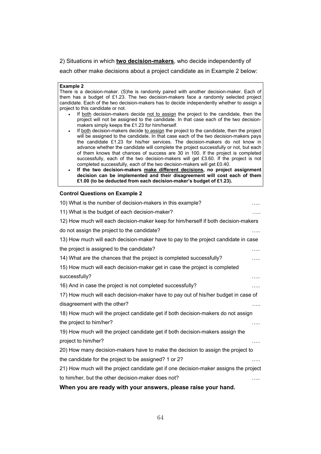2) Situations in which **two decision-makers**, who decide independently of

each other make decisions about a project candidate as in Example 2 below:

#### **Example 2**

There is a decision-maker. (S)he is randomly paired with another decision-maker. Each of them has a budget of £1.23. The two decision-makers face a randomly selected project candidate. Each of the two decision-makers has to decide independently whether to assign a project to this candidate or not.

- If both decision-makers decide not to assign the project to the candidate, then the project will not be assigned to the candidate. In that case each of the two decisionmakers simply keeps the £1.23 for him/herself.
- If both decision-makers decide to assign the project to the candidate, then the project will be assigned to the candidate. In that case each of the two decision-makers pays the candidate £1.23 for his/her services. The decision-makers do not know in advance whether the candidate will complete the project successfully or not, but each of them knows that chances of success are 30 in 100. If the project is completed successfully, each of the two decision-makers will get £3.60. If the project is not completed successfully, each of the two decision-makers will get £0.40.
- **If the two decision-makers make different decisions, no project assignment decision can be implemented and their disagreement will cost each of them £1.00 (to be deducted from each decision-maker's budget of £1.23).**

#### **Control Questions on Example 2**

| 10) What is the number of decision-makers in this example?                            |   |
|---------------------------------------------------------------------------------------|---|
| 11) What is the budget of each decision-maker?                                        | . |
| 12) How much will each decision-maker keep for him/herself if both decision-makers    |   |
| do not assign the project to the candidate?                                           | . |
| 13) How much will each decision-maker have to pay to the project candidate in case    |   |
| the project is assigned to the candidate?                                             | . |
| 14) What are the chances that the project is completed successfully?                  | . |
| 15) How much will each decision-maker get in case the project is completed            |   |
| successfully?                                                                         | . |
| 16) And in case the project is not completed successfully?                            | . |
| 17) How much will each decision-maker have to pay out of his/her budget in case of    |   |
| disagreement with the other?                                                          | . |
| 18) How much will the project candidate get if both decision-makers do not assign     |   |
| the project to him/her?                                                               | . |
| 19) How much will the project candidate get if both decision-makers assign the        |   |
| project to him/her?                                                                   | . |
| 20) How many decision-makers have to make the decision to assign the project to       |   |
| the candidate for the project to be assigned? 1 or 2?                                 | . |
| 21) How much will the project candidate get if one decision-maker assigns the project |   |
| to him/her, but the other decision-maker does not?                                    |   |
|                                                                                       |   |

# **When you are ready with your answers, please raise your hand.**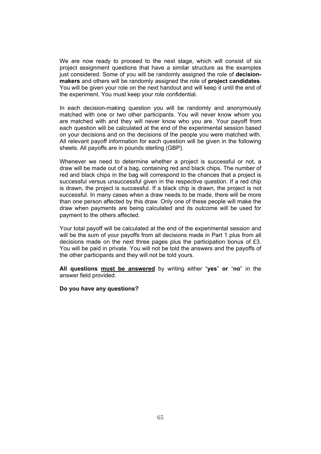We are now ready to proceed to the next stage, which will consist of six project assignment questions that have a similar structure as the examples just considered. Some of you will be randomly assigned the role of **decisionmakers** and others will be randomly assigned the role of **project candidates**. You will be given your role on the next handout and will keep it until the end of the experiment. You must keep your role confidential.

In each decision-making question you will be randomly and anonymously matched with one or two other participants. You will never know whom you are matched with and they will never know who you are. Your payoff from each question will be calculated at the end of the experimental session based on your decisions and on the decisions of the people you were matched with. All relevant payoff information for each question will be given in the following sheets. All payoffs are in pounds sterling (GBP).

Whenever we need to determine whether a project is successful or not, a draw will be made out of a bag, containing red and black chips. The number of red and black chips in the bag will correspond to the chances that a project is successful versus unsuccessful given in the respective question. If a red chip is drawn, the project is successful. If a black chip is drawn, the project is not successful. In many cases when a draw needs to be made, there will be more than one person affected by this draw. Only one of these people will make the draw when payments are being calculated and its outcome will be used for payment to the others affected.

Your total payoff will be calculated at the end of the experimental session and will be the sum of your payoffs from all decisions made in Part 1 plus from all decisions made on the next three pages plus the participation bonus of £3. You will be paid in private. You will not be told the answers and the payoffs of the other participants and they will not be told yours.

**All questions must be answered** by writing either "**yes**" **or** "**no**" in the answer field provided.

#### **Do you have any questions?**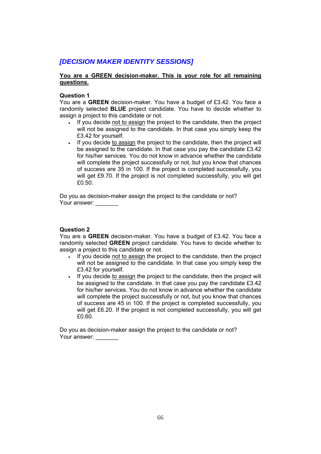# *[DECISION MAKER IDENTITY SESSIONS]*

# **You are a GREEN decision-maker. This is your role for all remaining questions.**

# **Question 1**

You are a **GREEN** decision-maker. You have a budget of £3.42. You face a randomly selected **BLUE** project candidate. You have to decide whether to assign a project to this candidate or not.

- If you decide not to assign the project to the candidate, then the project will not be assigned to the candidate. In that case you simply keep the £3.42 for yourself.
- If you decide to assign the project to the candidate, then the project will be assigned to the candidate. In that case you pay the candidate £3.42 for his/her services. You do not know in advance whether the candidate will complete the project successfully or not, but you know that chances of success are 35 in 100. If the project is completed successfully, you will get £9.70. If the project is not completed successfully, you will get £0.50.

Do you as decision-maker assign the project to the candidate or not? Your answer:

# **Question 2**

You are a **GREEN** decision-maker. You have a budget of £3.42. You face a randomly selected **GREEN** project candidate. You have to decide whether to assign a project to this candidate or not.

- If you decide not to assign the project to the candidate, then the project will not be assigned to the candidate. In that case you simply keep the £3.42 for yourself.
- If you decide to assign the project to the candidate, then the project will be assigned to the candidate. In that case you pay the candidate £3.42 for his/her services. You do not know in advance whether the candidate will complete the project successfully or not, but you know that chances of success are 45 in 100. If the project is completed successfully, you will get £6.20. If the project is not completed successfully, you will get £0.60.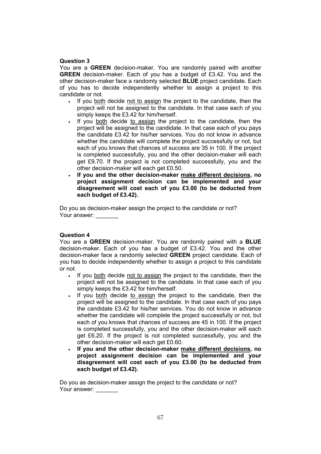# **Question 3**

You are a **GREEN** decision-maker. You are randomly paired with another **GREEN** decision-maker. Each of you has a budget of £3.42. You and the other decision-maker face a randomly selected **BLUE** project candidate. Each of you has to decide independently whether to assign a project to this candidate or not.

- If you both decide not to assign the project to the candidate, then the project will not be assigned to the candidate. In that case each of you simply keeps the £3.42 for him/herself.
- If you both decide to assign the project to the candidate, then the project will be assigned to the candidate. In that case each of you pays the candidate £3.42 for his/her services. You do not know in advance whether the candidate will complete the project successfully or not, but each of you knows that chances of success are 35 in 100. If the project is completed successfully, you and the other decision-maker will each get £9.70. If the project is not completed successfully, you and the other decision-maker will each get £0.50.
- **If you and the other decision-maker make different decisions, no project assignment decision can be implemented and your disagreement will cost each of you £3.00 (to be deducted from each budget of £3.42).**

Do you as decision-maker assign the project to the candidate or not? Your answer:

#### **Question 4**

You are a **GREEN** decision-maker. You are randomly paired with a **BLUE** decision-maker. Each of you has a budget of £3.42. You and the other decision-maker face a randomly selected **GREEN** project candidate. Each of you has to decide independently whether to assign a project to this candidate or not.

- If you both decide not to assign the project to the candidate, then the project will not be assigned to the candidate. In that case each of you simply keeps the £3.42 for him/herself.
- If you both decide to assign the project to the candidate, then the project will be assigned to the candidate. In that case each of you pays the candidate £3.42 for his/her services. You do not know in advance whether the candidate will complete the project successfully or not, but each of you knows that chances of success are 45 in 100. If the project is completed successfully, you and the other decision-maker will each get £6.20. If the project is not completed successfully, you and the other decision-maker will each get £0.60.
- **If you and the other decision-maker make different decisions, no project assignment decision can be implemented and your disagreement will cost each of you £3.00 (to be deducted from each budget of £3.42).**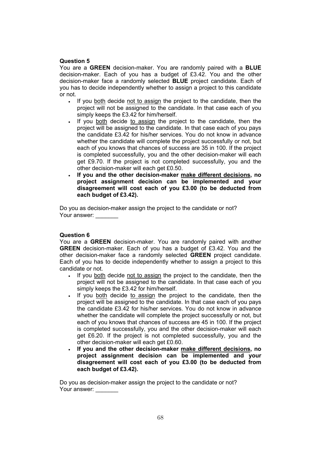## **Question 5**

You are a **GREEN** decision-maker. You are randomly paired with a **BLUE** decision-maker. Each of you has a budget of £3.42. You and the other decision-maker face a randomly selected **BLUE** project candidate. Each of you has to decide independently whether to assign a project to this candidate or not.

- If you both decide not to assign the project to the candidate, then the project will not be assigned to the candidate. In that case each of you simply keeps the £3.42 for him/herself.
- If you both decide to assign the project to the candidate, then the project will be assigned to the candidate. In that case each of you pays the candidate £3.42 for his/her services. You do not know in advance whether the candidate will complete the project successfully or not, but each of you knows that chances of success are 35 in 100. If the project is completed successfully, you and the other decision-maker will each get £9.70. If the project is not completed successfully, you and the other decision-maker will each get £0.50.
- **If you and the other decision-maker make different decisions, no project assignment decision can be implemented and your disagreement will cost each of you £3.00 (to be deducted from each budget of £3.42).**

Do you as decision-maker assign the project to the candidate or not? Your answer:

#### **Question 6**

You are a **GREEN** decision-maker. You are randomly paired with another **GREEN** decision-maker. Each of you has a budget of £3.42. You and the other decision-maker face a randomly selected **GREEN** project candidate. Each of you has to decide independently whether to assign a project to this candidate or not.

- If you both decide not to assign the project to the candidate, then the project will not be assigned to the candidate. In that case each of you simply keeps the £3.42 for him/herself.
- If you both decide to assign the project to the candidate, then the project will be assigned to the candidate. In that case each of you pays the candidate £3.42 for his/her services. You do not know in advance whether the candidate will complete the project successfully or not, but each of you knows that chances of success are 45 in 100. If the project is completed successfully, you and the other decision-maker will each get £6.20. If the project is not completed successfully, you and the other decision-maker will each get £0.60.
- **If you and the other decision-maker make different decisions, no project assignment decision can be implemented and your disagreement will cost each of you £3.00 (to be deducted from each budget of £3.42).**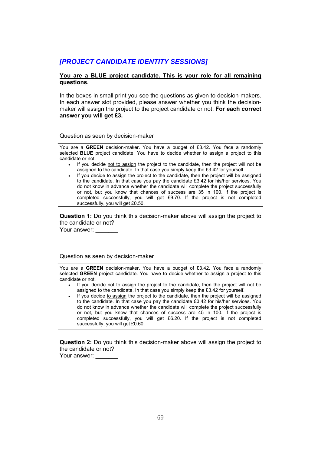# *[PROJECT CANDIDATE IDENTITY SESSIONS]*

# **You are a BLUE project candidate. This is your role for all remaining questions.**

In the boxes in small print you see the questions as given to decision-makers. In each answer slot provided, please answer whether you think the decisionmaker will assign the project to the project candidate or not. **For each correct answer you will get £3.** 

Question as seen by decision-maker

You are a **GREEN** decision-maker. You have a budget of £3.42. You face a randomly selected **BLUE** project candidate. You have to decide whether to assign a project to this candidate or not.

- If you decide not to assign the project to the candidate, then the project will not be assigned to the candidate. In that case you simply keep the £3.42 for yourself.
- If you decide to assign the project to the candidate, then the project will be assigned to the candidate. In that case you pay the candidate £3.42 for his/her services. You do not know in advance whether the candidate will complete the project successfully or not, but you know that chances of success are 35 in 100. If the project is completed successfully, you will get £9.70. If the project is not completed successfully, you will get £0.50.

**Question 1:** Do you think this decision-maker above will assign the project to the candidate or not?

Your answer:

Question as seen by decision-maker

You are a **GREEN** decision-maker. You have a budget of £3.42. You face a randomly selected **GREEN** project candidate. You have to decide whether to assign a project to this candidate or not.

- If you decide not to assign the project to the candidate, then the project will not be assigned to the candidate. In that case you simply keep the £3.42 for yourself.
- If you decide to assign the project to the candidate, then the project will be assigned to the candidate. In that case you pay the candidate £3.42 for his/her services. You do not know in advance whether the candidate will complete the project successfully or not, but you know that chances of success are 45 in 100. If the project is completed successfully, you will get £6.20. If the project is not completed successfully, you will get £0.60.

**Question 2:** Do you think this decision-maker above will assign the project to the candidate or not?

Your answer: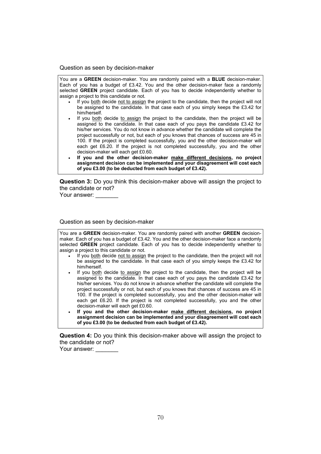Question as seen by decision-maker

You are a **GREEN** decision-maker. You are randomly paired with a **BLUE** decision-maker. Each of you has a budget of £3.42. You and the other decision-maker face a randomly selected **GREEN** project candidate. Each of you has to decide independently whether to assign a project to this candidate or not.

- If you both decide not to assign the project to the candidate, then the project will not be assigned to the candidate. In that case each of you simply keeps the £3.42 for him/herself.
- If you both decide to assign the project to the candidate, then the project will be assigned to the candidate. In that case each of you pays the candidate £3.42 for his/her services. You do not know in advance whether the candidate will complete the project successfully or not, but each of you knows that chances of success are 45 in 100. If the project is completed successfully, you and the other decision-maker will each get £6.20. If the project is not completed successfully, you and the other decision-maker will each get £0.60.
- **If you and the other decision-maker make different decisions, no project assignment decision can be implemented and your disagreement will cost each of you £3.00 (to be deducted from each budget of £3.42).**

**Question 3:** Do you think this decision-maker above will assign the project to the candidate or not?

Your answer:

Question as seen by decision-maker

You are a **GREEN** decision-maker. You are randomly paired with another **GREEN** decisionmaker. Each of you has a budget of £3.42. You and the other decision-maker face a randomly selected **GREEN** project candidate. Each of you has to decide independently whether to assign a project to this candidate or not.

- If you both decide not to assign the project to the candidate, then the project will not be assigned to the candidate. In that case each of you simply keeps the £3.42 for him/herself.
- If you both decide to assign the project to the candidate, then the project will be assigned to the candidate. In that case each of you pays the candidate £3.42 for his/her services. You do not know in advance whether the candidate will complete the project successfully or not, but each of you knows that chances of success are 45 in 100. If the project is completed successfully, you and the other decision-maker will each get £6.20. If the project is not completed successfully, you and the other decision-maker will each get £0.60.
- **If you and the other decision-maker make different decisions, no project assignment decision can be implemented and your disagreement will cost each of you £3.00 (to be deducted from each budget of £3.42).**

**Question 4:** Do you think this decision-maker above will assign the project to the candidate or not?

Your answer: